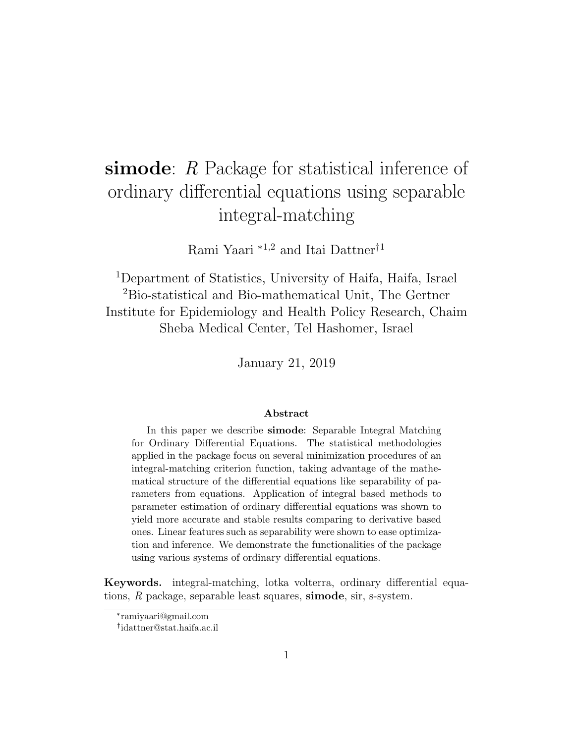# simode: R Package for statistical inference of ordinary differential equations using separable integral-matching

Rami Yaari $^{\ast1,2}$  and Itai Dattner $^{\dag1}$ 

<sup>1</sup>Department of Statistics, University of Haifa, Haifa, Israel <sup>2</sup>Bio-statistical and Bio-mathematical Unit, The Gertner Institute for Epidemiology and Health Policy Research, Chaim Sheba Medical Center, Tel Hashomer, Israel

January 21, 2019

#### Abstract

In this paper we describe simode: Separable Integral Matching for Ordinary Differential Equations. The statistical methodologies applied in the package focus on several minimization procedures of an integral-matching criterion function, taking advantage of the mathematical structure of the differential equations like separability of parameters from equations. Application of integral based methods to parameter estimation of ordinary differential equations was shown to yield more accurate and stable results comparing to derivative based ones. Linear features such as separability were shown to ease optimization and inference. We demonstrate the functionalities of the package using various systems of ordinary differential equations.

Keywords. integral-matching, lotka volterra, ordinary differential equations, R package, separable least squares, simode, sir, s-system.

<sup>\*</sup> ramiyaari@gmail.com

idattner@stat.haifa.ac.il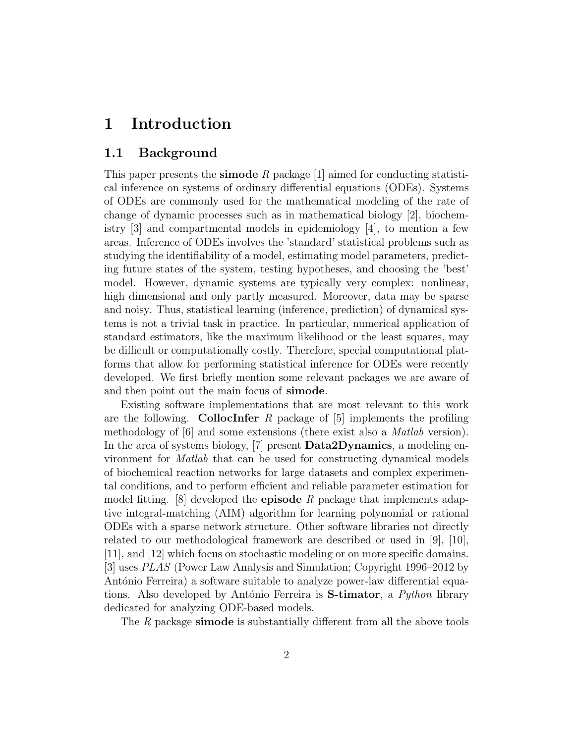# 1 Introduction

#### 1.1 Background

This paper presents the **simode** R package  $[1]$  aimed for conducting statistical inference on systems of ordinary differential equations (ODEs). Systems of ODEs are commonly used for the mathematical modeling of the rate of change of dynamic processes such as in mathematical biology [2], biochemistry [3] and compartmental models in epidemiology [4], to mention a few areas. Inference of ODEs involves the 'standard' statistical problems such as studying the identifiability of a model, estimating model parameters, predicting future states of the system, testing hypotheses, and choosing the 'best' model. However, dynamic systems are typically very complex: nonlinear, high dimensional and only partly measured. Moreover, data may be sparse and noisy. Thus, statistical learning (inference, prediction) of dynamical systems is not a trivial task in practice. In particular, numerical application of standard estimators, like the maximum likelihood or the least squares, may be difficult or computationally costly. Therefore, special computational platforms that allow for performing statistical inference for ODEs were recently developed. We first briefly mention some relevant packages we are aware of and then point out the main focus of simode.

Existing software implementations that are most relevant to this work are the following. **CollocInfer** R package of  $[5]$  implements the profiling methodology of [6] and some extensions (there exist also a Matlab version). In the area of systems biology, [7] present **Data2Dynamics**, a modeling environment for Matlab that can be used for constructing dynamical models of biochemical reaction networks for large datasets and complex experimental conditions, and to perform efficient and reliable parameter estimation for model fitting. [8] developed the **episode** R package that implements adaptive integral-matching (AIM) algorithm for learning polynomial or rational ODEs with a sparse network structure. Other software libraries not directly related to our methodological framework are described or used in [9], [10], [11], and [12] which focus on stochastic modeling or on more specific domains. [3] uses PLAS (Power Law Analysis and Simulation; Copyright 1996–2012 by António Ferreira) a software suitable to analyze power-law differential equations. Also developed by António Ferreira is **S-timator**, a *Python* library dedicated for analyzing ODE-based models.

The R package **simode** is substantially different from all the above tools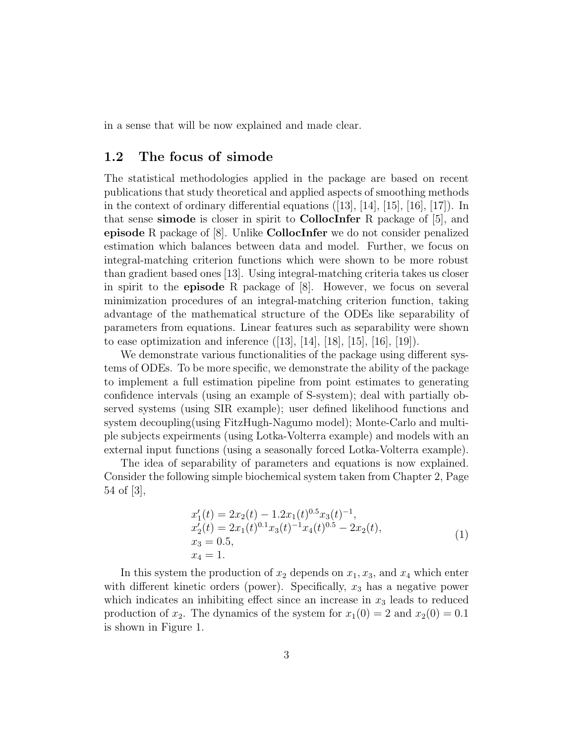in a sense that will be now explained and made clear.

#### 1.2 The focus of simode

The statistical methodologies applied in the package are based on recent publications that study theoretical and applied aspects of smoothing methods in the context of ordinary differential equations ([13], [14], [15], [16], [17]). In that sense simode is closer in spirit to CollocInfer R package of [5], and episode R package of [8]. Unlike CollocInfer we do not consider penalized estimation which balances between data and model. Further, we focus on integral-matching criterion functions which were shown to be more robust than gradient based ones [13]. Using integral-matching criteria takes us closer in spirit to the **episode** R package of  $|8|$ . However, we focus on several minimization procedures of an integral-matching criterion function, taking advantage of the mathematical structure of the ODEs like separability of parameters from equations. Linear features such as separability were shown to ease optimization and inference  $([13], [14], [18], [15], [16], [19]$ .

We demonstrate various functionalities of the package using different systems of ODEs. To be more specific, we demonstrate the ability of the package to implement a full estimation pipeline from point estimates to generating confidence intervals (using an example of S-system); deal with partially observed systems (using SIR example); user defined likelihood functions and system decoupling(using FitzHugh-Nagumo model); Monte-Carlo and multiple subjects expeirments (using Lotka-Volterra example) and models with an external input functions (using a seasonally forced Lotka-Volterra example).

The idea of separability of parameters and equations is now explained. Consider the following simple biochemical system taken from Chapter 2, Page 54 of [3],

$$
x'_1(t) = 2x_2(t) - 1.2x_1(t)^{0.5}x_3(t)^{-1},
$$
  
\n
$$
x'_2(t) = 2x_1(t)^{0.1}x_3(t)^{-1}x_4(t)^{0.5} - 2x_2(t),
$$
  
\n
$$
x_3 = 0.5,
$$
  
\n
$$
x_4 = 1.
$$
\n(1)

In this system the production of  $x_2$  depends on  $x_1, x_3$ , and  $x_4$  which enter with different kinetic orders (power). Specifically,  $x_3$  has a negative power which indicates an inhibiting effect since an increase in *x*<sup>3</sup> leads to reduced production of  $x_2$ . The dynamics of the system for  $x_1(0) = 2$  and  $x_2(0) = 0.1$ is shown in Figure 1.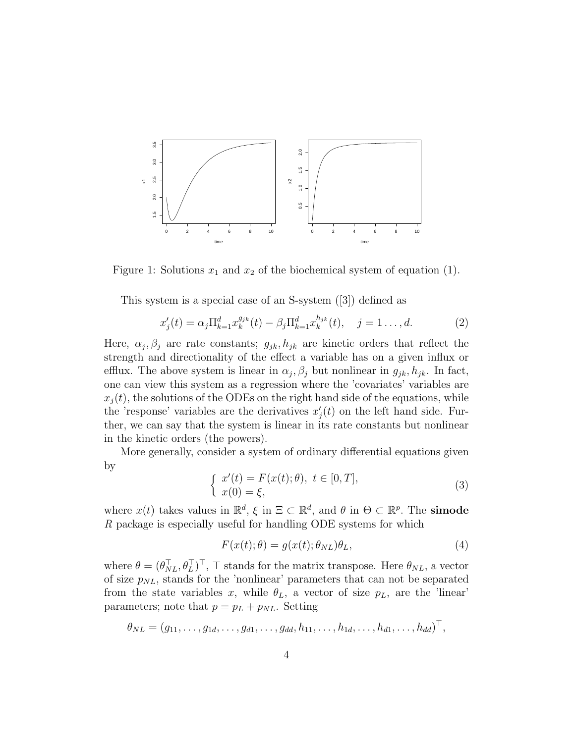

Figure 1: Solutions  $x_1$  and  $x_2$  of the biochemical system of equation (1).

This system is a special case of an S-system ([3]) defined as

$$
x'_{j}(t) = \alpha_{j} \Pi_{k=1}^{d} x_{k}^{g_{jk}}(t) - \beta_{j} \Pi_{k=1}^{d} x_{k}^{h_{jk}}(t), \quad j = 1..., d.
$$
 (2)

Here,  $\alpha_j$ ,  $\beta_j$  are rate constants;  $g_{jk}$ ,  $h_{jk}$  are kinetic orders that reflect the strength and directionality of the effect a variable has on a given influx or efflux. The above system is linear in  $\alpha_j$ ,  $\beta_j$  but nonlinear in  $g_{jk}$ ,  $h_{jk}$ . In fact, one can view this system as a regression where the 'covariates' variables are  $x_i(t)$ , the solutions of the ODEs on the right hand side of the equations, while the 'response' variables are the derivatives  $x'_{j}(t)$  on the left hand side. Further, we can say that the system is linear in its rate constants but nonlinear in the kinetic orders (the powers).

More generally, consider a system of ordinary differential equations given by

$$
\begin{cases}\n x'(t) = F(x(t); \theta), \ t \in [0, T], \\
 x(0) = \xi,\n\end{cases}
$$
\n(3)

where  $x(t)$  takes values in  $\mathbb{R}^d$ ,  $\xi$  in  $\Xi \subset \mathbb{R}^d$ , and  $\theta$  in  $\Theta \subset \mathbb{R}^p$ . The **simode** R package is especially useful for handling ODE systems for which

$$
F(x(t); \theta) = g(x(t); \theta_{NL})\theta_L, \tag{4}
$$

where  $\theta = (\theta_{NL}^T, \theta_L^T)^T$ ,  $\top$  stands for the matrix transpose. Here  $\theta_{NL}$ , a vector of size  $p_{NL}$ , stands for the 'nonlinear' parameters that can not be separated from the state variables *x*, while  $\theta_L$ , a vector of size  $p_L$ , are the 'linear' parameters; note that  $p = p_L + p_{NL}$ . Setting

$$
\theta_{NL} = (g_{11}, \ldots, g_{1d}, \ldots, g_{d1}, \ldots, g_{dd}, h_{11}, \ldots, h_{1d}, \ldots, h_{d1}, \ldots, h_{dd})^{\top},
$$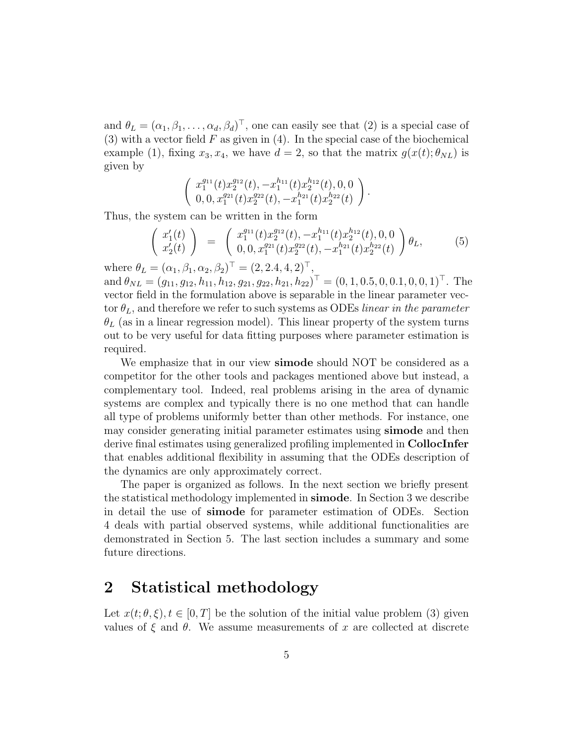and  $\theta_L = (\alpha_1, \beta_1, \dots, \alpha_d, \beta_d)^\top$ , one can easily see that (2) is a special case of (3) with a vector field *F* as given in (4). In the special case of the biochemical example (1), fixing  $x_3, x_4$ , we have  $d = 2$ , so that the matrix  $g(x(t); \theta_{NL})$  is given by

$$
\left(\begin{array}{c}x_1^{g_{11}}(t)x_2^{g_{12}}(t),-x_1^{h_{11}}(t)x_2^{h_{12}}(t),0,0\\0,0,x_1^{g_{21}}(t)x_2^{g_{22}}(t),-x_1^{h_{21}}(t)x_2^{h_{22}}(t)\end{array}\right).
$$

Thus, the system can be written in the form

$$
\begin{pmatrix} x_1'(t) \\ x_2'(t) \end{pmatrix} = \begin{pmatrix} x_1^{g_{11}}(t)x_2^{g_{12}}(t), -x_1^{h_{11}}(t)x_2^{h_{12}}(t), 0, 0 \\ 0, 0, x_1^{g_{21}}(t)x_2^{g_{22}}(t), -x_1^{h_{21}}(t)x_2^{h_{22}}(t) \end{pmatrix} \theta_L, \tag{5}
$$

where  $\theta_L = (\alpha_1, \beta_1, \alpha_2, \beta_2)^{\top} = (2, 2.4, 4, 2)^{\top}$ ,  $\partial_{ML} = (g_{11}, g_{12}, h_{11}, h_{12}, g_{21}, g_{22}, h_{21}, h_{22})^{\top} = (0, 1, 0.5, 0, 0.1, 0, 0, 1)^{\top}$ . The vector field in the formulation above is separable in the linear parameter vector  $\theta_L$ , and therefore we refer to such systems as ODEs linear in the parameter  $\theta_L$  (as in a linear regression model). This linear property of the system turns out to be very useful for data fitting purposes where parameter estimation is required.

We emphasize that in our view **simode** should NOT be considered as a competitor for the other tools and packages mentioned above but instead, a complementary tool. Indeed, real problems arising in the area of dynamic systems are complex and typically there is no one method that can handle all type of problems uniformly better than other methods. For instance, one may consider generating initial parameter estimates using **simode** and then derive final estimates using generalized profiling implemented in CollocInfer that enables additional flexibility in assuming that the ODEs description of the dynamics are only approximately correct.

The paper is organized as follows. In the next section we briefly present the statistical methodology implemented in simode. In Section 3 we describe in detail the use of simode for parameter estimation of ODEs. Section 4 deals with partial observed systems, while additional functionalities are demonstrated in Section 5. The last section includes a summary and some future directions.

### 2 Statistical methodology

Let  $x(t; \theta, \xi), t \in [0, T]$  be the solution of the initial value problem (3) given values of  $\xi$  and  $\theta$ . We assume measurements of x are collected at discrete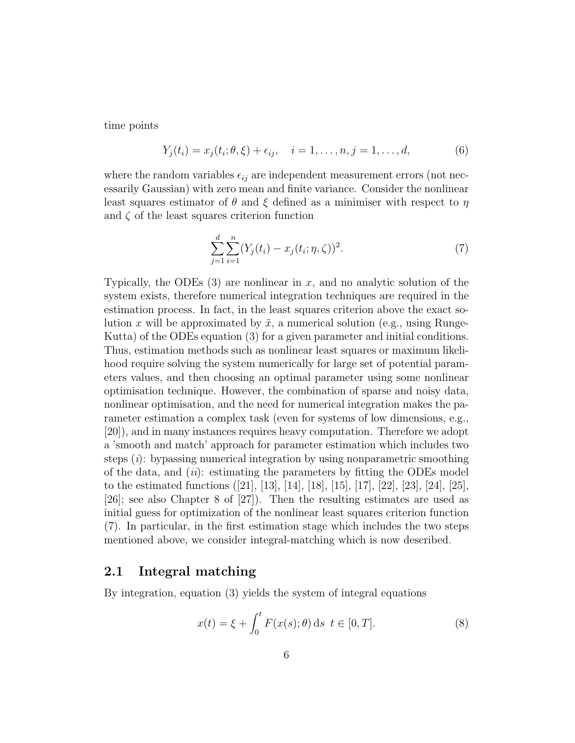time points

$$
Y_j(t_i) = x_j(t_i; \theta, \xi) + \epsilon_{ij}, \quad i = 1, ..., n, j = 1, ..., d,
$$
 (6)

where the random variables  $\epsilon_{ij}$  are independent measurement errors (not necessarily Gaussian) with zero mean and finite variance. Consider the nonlinear least squares estimator of *θ* and *ξ* defined as a minimiser with respect to *η* and  $\zeta$  of the least squares criterion function

$$
\sum_{j=1}^{d} \sum_{i=1}^{n} (Y_j(t_i) - x_j(t_i; \eta, \zeta))^2.
$$
 (7)

Typically, the ODEs (3) are nonlinear in *x*, and no analytic solution of the system exists, therefore numerical integration techniques are required in the estimation process. In fact, in the least squares criterion above the exact solution x will be approximated by  $\tilde{x}$ , a numerical solution (e.g., using Runge-Kutta) of the ODEs equation (3) for a given parameter and initial conditions. Thus, estimation methods such as nonlinear least squares or maximum likelihood require solving the system numerically for large set of potential parameters values, and then choosing an optimal parameter using some nonlinear optimisation technique. However, the combination of sparse and noisy data, nonlinear optimisation, and the need for numerical integration makes the parameter estimation a complex task (even for systems of low dimensions, e.g., [20]), and in many instances requires heavy computation. Therefore we adopt a 'smooth and match' approach for parameter estimation which includes two steps  $(i)$ : by passing numerical integration by using nonparametric smoothing of the data, and  $(ii)$ : estimating the parameters by fitting the ODEs model to the estimated functions ([21], [13], [14], [18], [15], [17], [22], [23], [24], [25], [26]; see also Chapter 8 of [27]). Then the resulting estimates are used as initial guess for optimization of the nonlinear least squares criterion function (7). In particular, in the first estimation stage which includes the two steps mentioned above, we consider integral-matching which is now described.

#### 2.1 Integral matching

By integration, equation (3) yields the system of integral equations

$$
x(t) = \xi + \int_0^t F(x(s); \theta) \, ds \, t \in [0, T]. \tag{8}
$$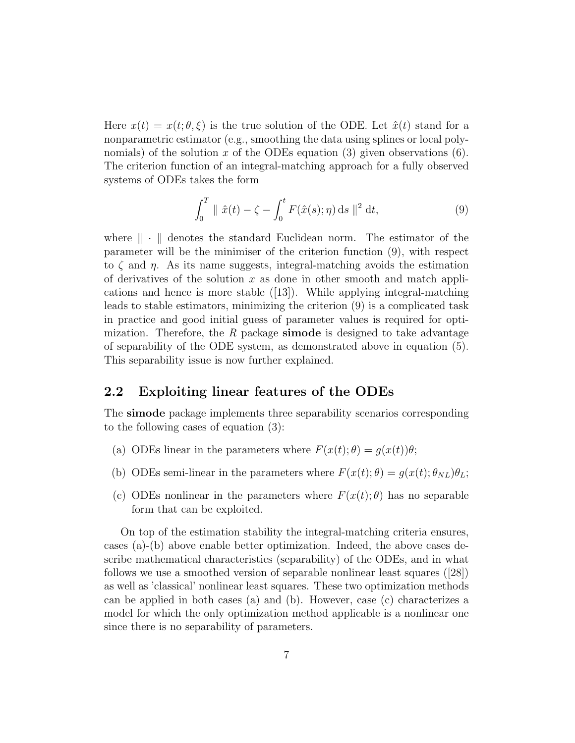Here  $x(t) = x(t; \theta, \xi)$  is the true solution of the ODE. Let  $\hat{x}(t)$  stand for a nonparametric estimator (e.g., smoothing the data using splines or local polynomials) of the solution *x* of the ODEs equation (3) given observations (6). The criterion function of an integral-matching approach for a fully observed systems of ODEs takes the form

$$
\int_0^T \| \hat{x}(t) - \zeta - \int_0^t F(\hat{x}(s); \eta) \, ds \|^2 dt,
$$
\n(9)

where  $\|\cdot\|$  denotes the standard Euclidean norm. The estimator of the parameter will be the minimiser of the criterion function (9), with respect to *ζ* and *η*. As its name suggests, integral-matching avoids the estimation of derivatives of the solution *x* as done in other smooth and match applications and hence is more stable ([13]). While applying integral-matching leads to stable estimators, minimizing the criterion (9) is a complicated task in practice and good initial guess of parameter values is required for optimization. Therefore, the R package simode is designed to take advantage of separability of the ODE system, as demonstrated above in equation (5). This separability issue is now further explained.

#### 2.2 Exploiting linear features of the ODEs

The simode package implements three separability scenarios corresponding to the following cases of equation (3):

- (a) ODEs linear in the parameters where  $F(x(t);\theta) = q(x(t))\theta$ ;
- (b) ODEs semi-linear in the parameters where  $F(x(t); \theta) = g(x(t); \theta_{NL})\theta_L$ ;
- (c) ODEs nonlinear in the parameters where *F*(*x*(*t*); *θ*) has no separable form that can be exploited.

On top of the estimation stability the integral-matching criteria ensures, cases (a)-(b) above enable better optimization. Indeed, the above cases describe mathematical characteristics (separability) of the ODEs, and in what follows we use a smoothed version of separable nonlinear least squares ([28]) as well as 'classical' nonlinear least squares. These two optimization methods can be applied in both cases (a) and (b). However, case (c) characterizes a model for which the only optimization method applicable is a nonlinear one since there is no separability of parameters.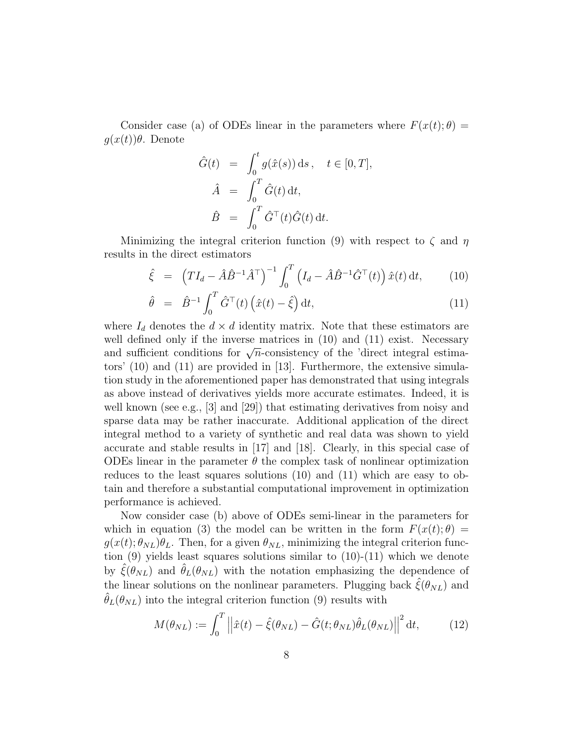Consider case (a) of ODEs linear in the parameters where  $F(x(t);\theta) =$ *g*(*x*(*t*))*θ*. Denote

$$
\hat{G}(t) = \int_0^t g(\hat{x}(s)) ds, \quad t \in [0, T],
$$

$$
\hat{A} = \int_0^T \hat{G}(t) dt,
$$

$$
\hat{B} = \int_0^T \hat{G}^\top(t) \hat{G}(t) dt.
$$

Minimizing the integral criterion function (9) with respect to *ζ* and *η* results in the direct estimators

$$
\hat{\xi} = \left( T I_d - \hat{A} \hat{B}^{-1} \hat{A}^\top \right)^{-1} \int_0^T \left( I_d - \hat{A} \hat{B}^{-1} \hat{G}^\top(t) \right) \hat{x}(t) \, \mathrm{d}t,\tag{10}
$$

$$
\hat{\theta} = \hat{B}^{-1} \int_0^T \hat{G}^\top(t) \left( \hat{x}(t) - \hat{\xi} \right) dt,\tag{11}
$$

where  $I_d$  denotes the  $d \times d$  identity matrix. Note that these estimators are well defined only if the inverse matrices in  $(10)$  and  $(11)$  exist. Necessary wen defined only if the inverse matrices in (10) and (11) exist. Necessary<br>and sufficient conditions for  $\sqrt{n}$ -consistency of the 'direct integral estimators' (10) and (11) are provided in [13]. Furthermore, the extensive simulation study in the aforementioned paper has demonstrated that using integrals as above instead of derivatives yields more accurate estimates. Indeed, it is well known (see e.g., [3] and [29]) that estimating derivatives from noisy and sparse data may be rather inaccurate. Additional application of the direct integral method to a variety of synthetic and real data was shown to yield accurate and stable results in [17] and [18]. Clearly, in this special case of ODEs linear in the parameter  $\theta$  the complex task of nonlinear optimization reduces to the least squares solutions (10) and (11) which are easy to obtain and therefore a substantial computational improvement in optimization performance is achieved.

Now consider case (b) above of ODEs semi-linear in the parameters for which in equation (3) the model can be written in the form  $F(x(t);\theta) =$  $g(x(t); \theta_{NL})\theta_L$ . Then, for a given  $\theta_{NL}$ , minimizing the integral criterion function  $(9)$  yields least squares solutions similar to  $(10)-(11)$  which we denote by  $\hat{\xi}(\theta_{NL})$  and  $\hat{\theta}_L(\theta_{NL})$  with the notation emphasizing the dependence of the linear solutions on the nonlinear parameters. Plugging back  $\hat{\xi}(\theta_{NL})$  and  $\theta_L(\theta_{NL})$  into the integral criterion function (9) results with

$$
M(\theta_{NL}) := \int_0^T \left\| \hat{x}(t) - \hat{\xi}(\theta_{NL}) - \hat{G}(t; \theta_{NL}) \hat{\theta}_L(\theta_{NL}) \right\|^2 dt, \tag{12}
$$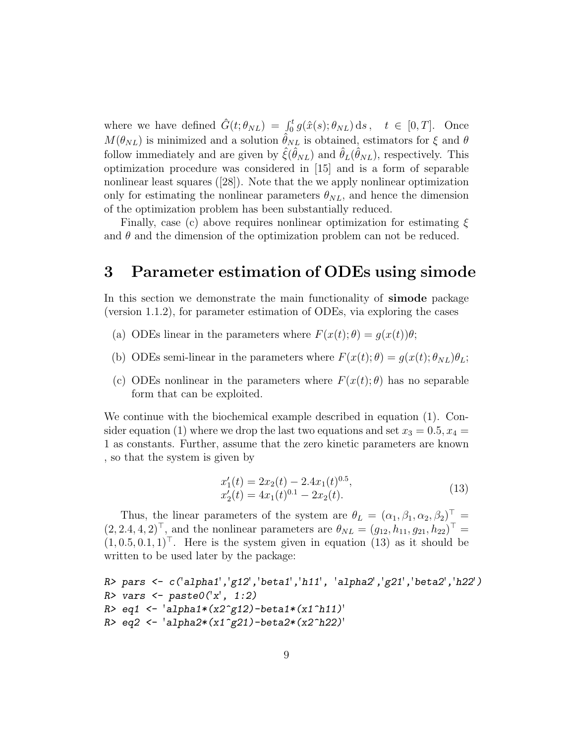where we have defined  $\hat{G}(t; \theta_{NL}) = \int_0^t g(\hat{x}(s); \theta_{NL}) ds, \quad t \in [0, T].$  Once  $M(\theta_{NL})$  is minimized and a solution  $\hat{\theta}_{NL}$  is obtained, estimators for  $\xi$  and  $\theta$ follow immediately and are given by  $\hat{\xi}(\hat{\theta}_{NL})$  and  $\hat{\theta}_{L}(\hat{\theta}_{NL})$ , respectively. This optimization procedure was considered in [15] and is a form of separable nonlinear least squares ([28]). Note that the we apply nonlinear optimization only for estimating the nonlinear parameters  $\theta_{NL}$ , and hence the dimension of the optimization problem has been substantially reduced.

Finally, case (c) above requires nonlinear optimization for estimating *ξ* and  $\theta$  and the dimension of the optimization problem can not be reduced.

### 3 Parameter estimation of ODEs using simode

In this section we demonstrate the main functionality of simode package (version 1.1.2), for parameter estimation of ODEs, via exploring the cases

- (a) ODEs linear in the parameters where  $F(x(t); \theta) = g(x(t))\theta$ ;
- (b) ODEs semi-linear in the parameters where  $F(x(t); \theta) = g(x(t); \theta_{NL})\theta_L$ ;
- (c) ODEs nonlinear in the parameters where *F*(*x*(*t*); *θ*) has no separable form that can be exploited.

We continue with the biochemical example described in equation (1). Consider equation (1) where we drop the last two equations and set  $x_3 = 0.5, x_4 =$ 1 as constants. Further, assume that the zero kinetic parameters are known , so that the system is given by

$$
x_1'(t) = 2x_2(t) - 2.4x_1(t)^{0.5},
$$
  
\n
$$
x_2'(t) = 4x_1(t)^{0.1} - 2x_2(t).
$$
\n(13)

Thus, the linear parameters of the system are  $\theta_L = (\alpha_1, \beta_1, \alpha_2, \beta_2)^\top$  =  $(2, 2.4, 4, 2)^{\top}$ , and the nonlinear parameters are  $\theta_{NL} = (g_{12}, h_{11}, g_{21}, h_{22})^{\top}$  $(1, 0.5, 0.1, 1)$ <sup>T</sup>. Here is the system given in equation (13) as it should be written to be used later by the package:

```
R> pars <- c('alpha1','g12','beta1','h11', 'alpha2','g21','beta2','h22')
R> vars <- paste0('x', 1:2)R> eq1 <- 'alpha1*(x2^g12)-beta1*(x1^h11)'
R> eq2 <- 'alpha2*(x1^g21)-beta2*(x2^h22)'
```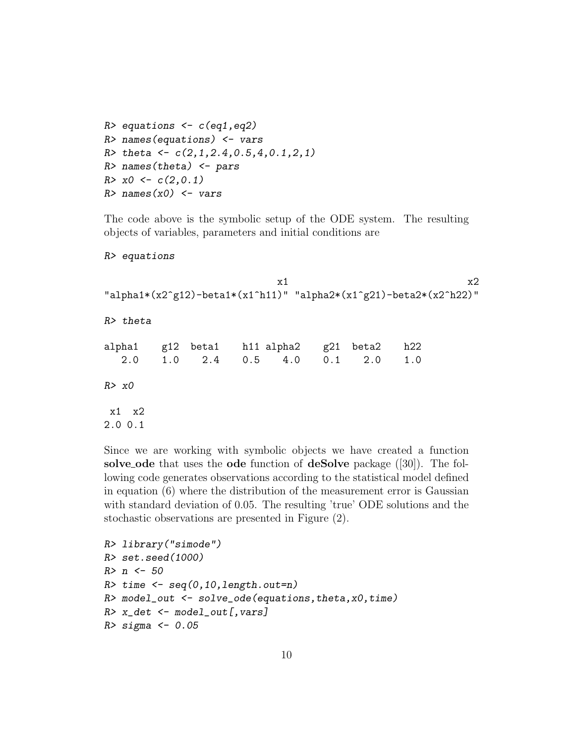```
R> equations \leq c(eq1,eq2)
R> names(equations) \leq vars
R> theta <- c(2,1,2.4,0.5,4,0.1,2,1)R> names(theta) \leq pars
R > x0 \leq c(2,0.1)R> names(x0) <- vars
```
The code above is the symbolic setup of the ODE system. The resulting objects of variables, parameters and initial conditions are

R> equations

```
x1 x2"alpha1*(x2^g12)-beta1*(x1^h11)" "alpha2*(x1^g21)-beta2*(x2^h22)"
R> theta
alpha1 g12 beta1 h11 alpha2 g21 beta2 h22
  2.0 1.0 2.4 0.5 4.0 0.1 2.0 1.0
R > x0x1 x2
2.0 0.1
```
Since we are working with symbolic objects we have created a function solve ode that uses the ode function of deSolve package  $([30])$ . The following code generates observations according to the statistical model defined in equation (6) where the distribution of the measurement error is Gaussian with standard deviation of 0*.*05. The resulting 'true' ODE solutions and the stochastic observations are presented in Figure (2).

```
R> library("simode")
R> set.seed(1000)
R > n < -50R> time \leq seq(0,10,length.out=n)
R> model_out \leq solve_ode(equations, theta, x0, time)
R> x_det \leq model_out[, vars]
R> sigma <- 0.05
```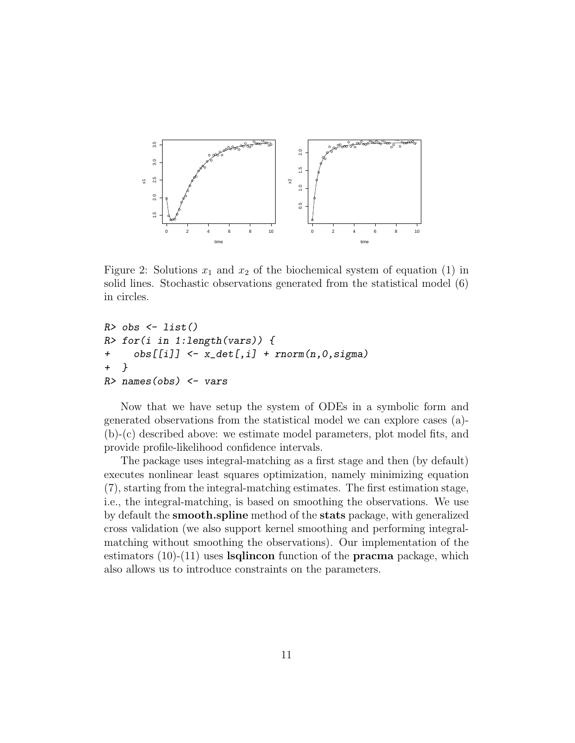

Figure 2: Solutions  $x_1$  and  $x_2$  of the biochemical system of equation (1) in solid lines. Stochastic observations generated from the statistical model (6) in circles.

```
R> obs \leq list()
R> for(i in 1:length(vars)) {
+ obs[[i]] <- x_det[,i] + rnorm(n,0,sigma)
+ }
R> names(obs) \leftarrow vars
```
Now that we have setup the system of ODEs in a symbolic form and generated observations from the statistical model we can explore cases (a)- (b)-(c) described above: we estimate model parameters, plot model fits, and provide profile-likelihood confidence intervals.

The package uses integral-matching as a first stage and then (by default) executes nonlinear least squares optimization, namely minimizing equation (7), starting from the integral-matching estimates. The first estimation stage, i.e., the integral-matching, is based on smoothing the observations. We use by default the smooth.spline method of the stats package, with generalized cross validation (we also support kernel smoothing and performing integralmatching without smoothing the observations). Our implementation of the estimators  $(10)-(11)$  uses **lsqlincon** function of the **pracma** package, which also allows us to introduce constraints on the parameters.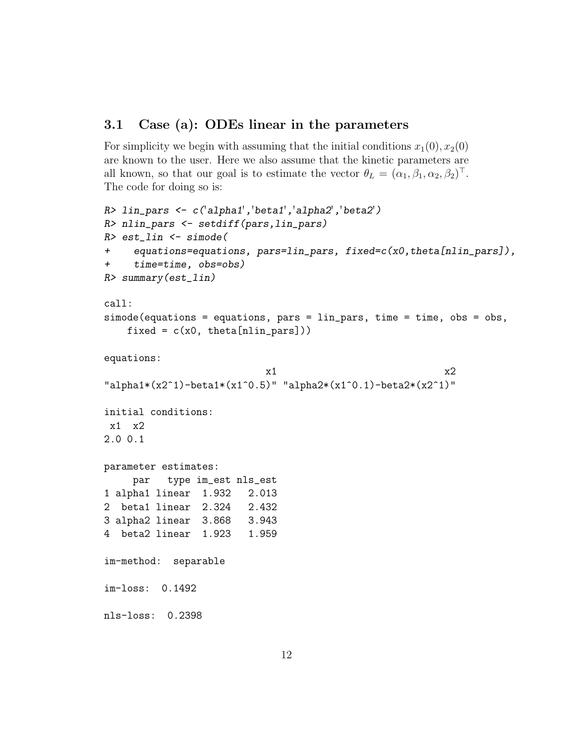### 3.1 Case (a): ODEs linear in the parameters

For simplicity we begin with assuming that the initial conditions  $x_1(0), x_2(0)$ are known to the user. Here we also assume that the kinetic parameters are all known, so that our goal is to estimate the vector  $\theta_L = (\alpha_1, \beta_1, \alpha_2, \beta_2)^\top$ . The code for doing so is:

```
R> lin_pars <- c('alpha1','beta1','alpha2','beta2')
R> nlin_pars <- setdiff(pars,lin_pars)
R> est_lin <- simode(
+ equations=equations, pars=lin_pars, fixed=c(x0,theta[nlin_pars]),
+ time=time, obs=obs)
R> summary(est_lin)
call:
simode(equations = equations, pars = lin_pars, time = time, obs = obs,
   fixed = c(x0, \theta), theta[nlin_pars])
equations:
                           x1 x2"alpha1*(x2^1)-beta1*(x1^0.5)" "alpha2*(x1^0.1)-beta2*(x2^1)"
initial conditions:
x1 x2
2.0 0.1
parameter estimates:
    par type im_est nls_est
1 alpha1 linear 1.932 2.013
2 beta1 linear 2.324 2.432
3 alpha2 linear 3.868 3.943
4 beta2 linear 1.923 1.959
im-method: separable
im-loss: 0.1492
nls-loss: 0.2398
```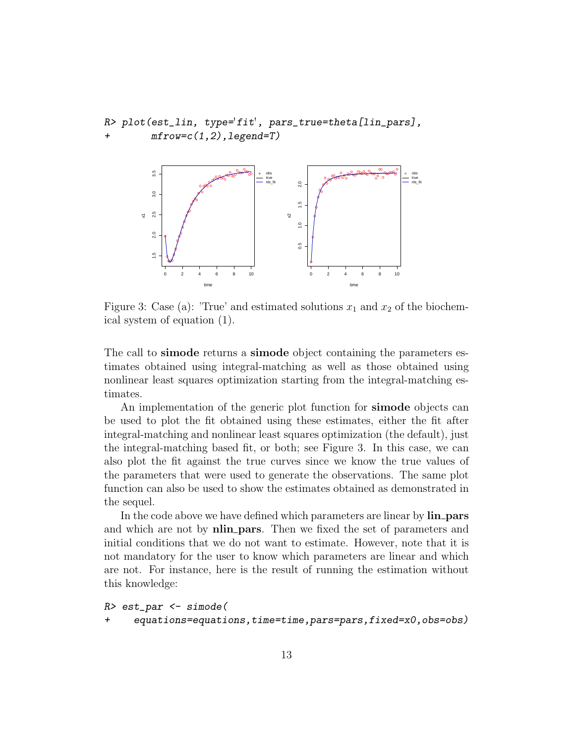```
R> plot(est_lin, type='fit', pars_true=theta[lin_pars],
        mfrow=c(1,2), legend=T)
```


Figure 3: Case (a): 'True' and estimated solutions  $x_1$  and  $x_2$  of the biochemical system of equation (1).

The call to simode returns a simode object containing the parameters estimates obtained using integral-matching as well as those obtained using nonlinear least squares optimization starting from the integral-matching estimates.

An implementation of the generic plot function for **simode** objects can be used to plot the fit obtained using these estimates, either the fit after integral-matching and nonlinear least squares optimization (the default), just the integral-matching based fit, or both; see Figure 3. In this case, we can also plot the fit against the true curves since we know the true values of the parameters that were used to generate the observations. The same plot function can also be used to show the estimates obtained as demonstrated in the sequel.

In the code above we have defined which parameters are linear by  $lin\_pars$ and which are not by **nlin**-**pars**. Then we fixed the set of parameters and initial conditions that we do not want to estimate. However, note that it is not mandatory for the user to know which parameters are linear and which are not. For instance, here is the result of running the estimation without this knowledge:

```
R> est_par <- simode(
```
+ equations=equations,time=time,pars=pars,fixed=x0,obs=obs)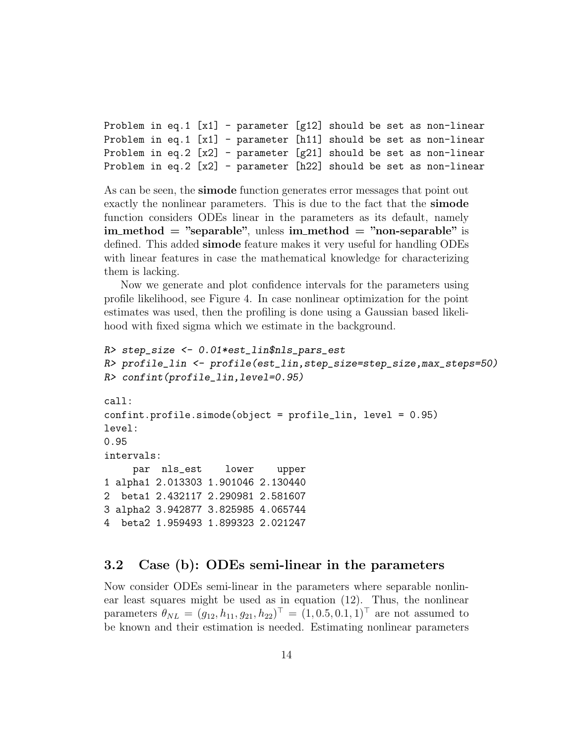Problem in eq.1  $[x1]$  - parameter  $[g12]$  should be set as non-linear Problem in eq.1 [x1] - parameter [h11] should be set as non-linear Problem in eq.2  $[x2]$  - parameter  $[g21]$  should be set as non-linear Problem in eq.2 [x2] - parameter [h22] should be set as non-linear

As can be seen, the simode function generates error messages that point out exactly the nonlinear parameters. This is due to the fact that the simode function considers ODEs linear in the parameters as its default, namely  $im_{\text{method}} = "separable", \text{ unless } im_{\text{method}} = "non-separable" \text{ is}$ defined. This added simode feature makes it very useful for handling ODEs with linear features in case the mathematical knowledge for characterizing them is lacking.

Now we generate and plot confidence intervals for the parameters using profile likelihood, see Figure 4. In case nonlinear optimization for the point estimates was used, then the profiling is done using a Gaussian based likelihood with fixed sigma which we estimate in the background.

```
R> step_size <- 0.01*est_lin$nls_pars_est
R> profile_lin <- profile(est_lin,step_size=step_size,max_steps=50)
R> confint(profile_lin,level=0.95)
call:
confint.profile.simode(object = profile_lin, level = 0.95)
level:
0.95
intervals:
    par nls_est lower upper
1 alpha1 2.013303 1.901046 2.130440
2 beta1 2.432117 2.290981 2.581607
3 alpha2 3.942877 3.825985 4.065744
4 beta2 1.959493 1.899323 2.021247
```
#### 3.2 Case (b): ODEs semi-linear in the parameters

Now consider ODEs semi-linear in the parameters where separable nonlinear least squares might be used as in equation (12). Thus, the nonlinear  $\varphi_{NL} = (g_{12}, h_{11}, g_{21}, h_{22})^{\top} = (1, 0.5, 0.1, 1)^{\top}$  are not assumed to be known and their estimation is needed. Estimating nonlinear parameters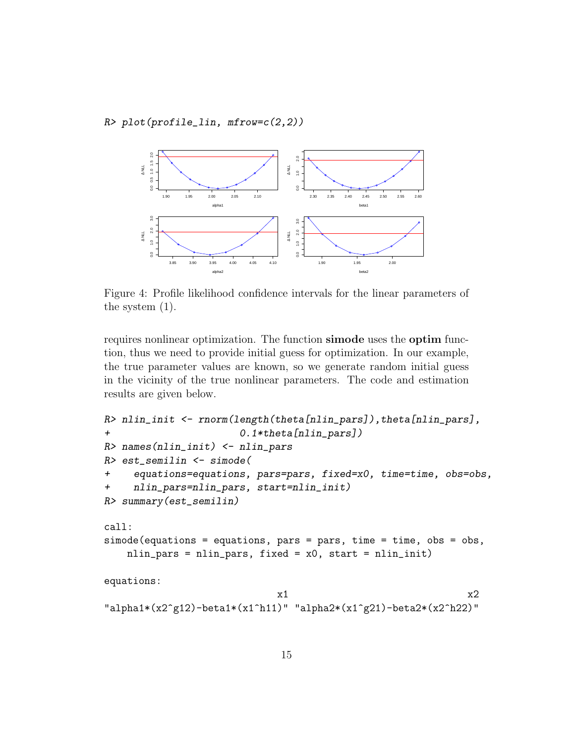$R$ > plot(profile\_lin, mfrow= $c(2,2)$ )



Figure 4: Profile likelihood confidence intervals for the linear parameters of the system (1).

requires nonlinear optimization. The function simode uses the optim function, thus we need to provide initial guess for optimization. In our example, the true parameter values are known, so we generate random initial guess in the vicinity of the true nonlinear parameters. The code and estimation results are given below.

```
R> nlin_init <- rnorm(length(theta[nlin_pars]), theta[nlin_pars],
+ 0.1*theta[nlin_pars])
R> names(nlin_init) <- nlin_pars
R> est_semilin <- simode(
+ equations=equations, pars=pars, fixed=x0, time=time, obs=obs,
+ nlin_pars=nlin_pars, start=nlin_init)
R> summary(est_semilin)
call:
simode(equations = equations, pars = pars, time = time, obs = obs,
   nlin_pars = nlin_pars, fixed = x0, start = nlin_init)
equations:
                           x1 x2"alpha1*(x2^g12)-beta1*(x1^h11)" "alpha2*(x1^g21)-beta2*(x2^h22)"
```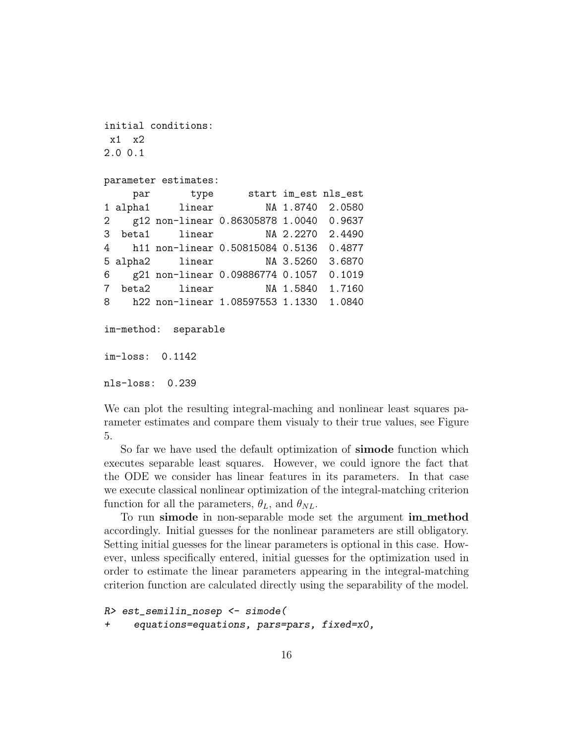```
initial conditions:
x1 x2
2.0 0.1
parameter estimates:
    par type start im_est nls_est
1 alpha1 linear NA 1.8740 2.0580
2 g12 non-linear 0.86305878 1.0040 0.9637
3 beta1 linear NA 2.2270 2.4490
4 h11 non-linear 0.50815084 0.5136 0.4877
5 alpha2 linear NA 3.5260 3.6870
6 g21 non-linear 0.09886774 0.1057 0.1019
7 beta2 linear NA 1.5840 1.7160
8 h22 non-linear 1.08597553 1.1330 1.0840
im-method: separable
im-loss: 0.1142
```
nls-loss: 0.239

We can plot the resulting integral-maching and nonlinear least squares parameter estimates and compare them visualy to their true values, see Figure 5.

So far we have used the default optimization of **simode** function which executes separable least squares. However, we could ignore the fact that the ODE we consider has linear features in its parameters. In that case we execute classical nonlinear optimization of the integral-matching criterion function for all the parameters,  $\theta_L$ , and  $\theta_{NL}$ .

To run simode in non-separable mode set the argument im method accordingly. Initial guesses for the nonlinear parameters are still obligatory. Setting initial guesses for the linear parameters is optional in this case. However, unless specifically entered, initial guesses for the optimization used in order to estimate the linear parameters appearing in the integral-matching criterion function are calculated directly using the separability of the model.

```
R> est_semilin_nosep <- simode(
+ equations=equations, pars=pars, fixed=x0,
```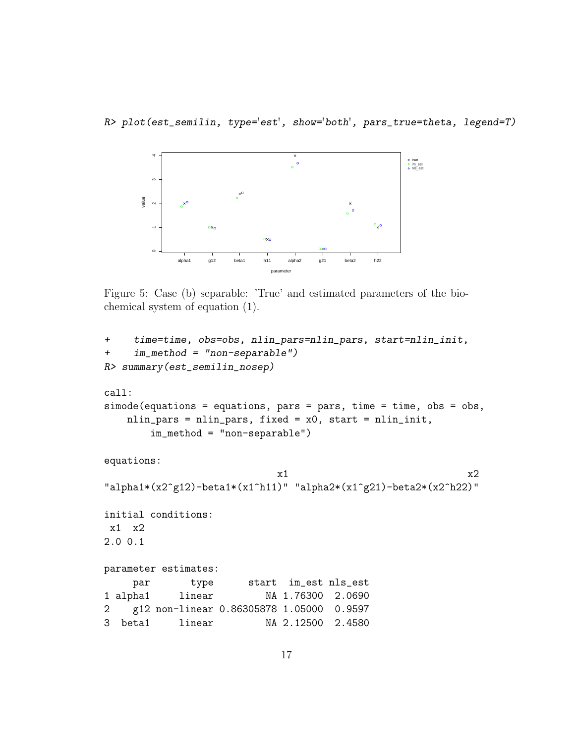R> plot(est\_semilin, type='est', show='both', pars\_true=theta, legend=T)



Figure 5: Case (b) separable: 'True' and estimated parameters of the biochemical system of equation (1).

```
+ time=time, obs=obs, nlin_pars=nlin_pars, start=nlin_init,
+ im_method = "non-separable")
R> summary(est_semilin_nosep)
call:
simode(equations = equations, pars = pars, time = time, obs = obs,
   nlin_pars = nlin_pars, fixed = x0, start = nlin_init,
       im_method = "non-separable")
equations:
                          x1 x2
"alpha1*(x2^g12)-beta1*(x1^h11)" "alpha2*(x1^g21)-beta2*(x2^h22)"
initial conditions:
x1 x2
2.0 0.1
parameter estimates:
    par type start im_est nls_est
1 alpha1 linear NA 1.76300 2.0690
2 g12 non-linear 0.86305878 1.05000 0.9597
3 beta1 linear NA 2.12500 2.4580
```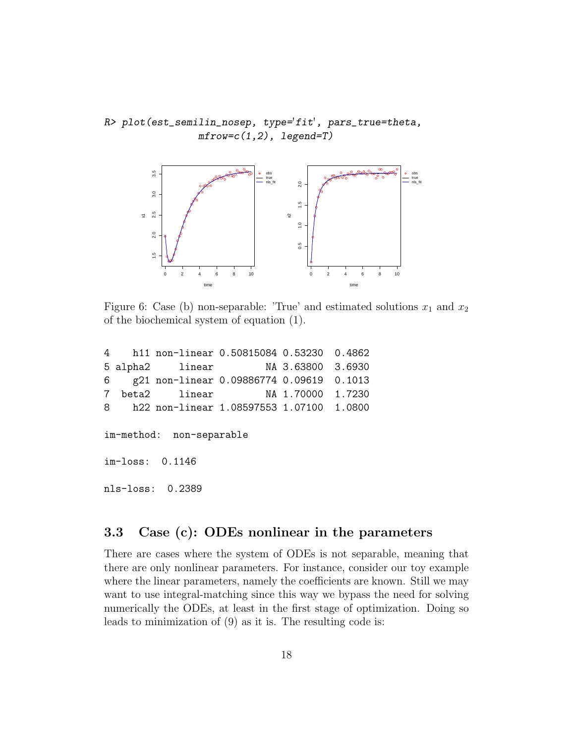R> plot(est\_semilin\_nosep, type='fit', pars\_true=theta, mfrow=c(1,2), legend=T)



Figure 6: Case (b) non-separable: 'True' and estimated solutions  $x_1$  and  $x_2$ of the biochemical system of equation (1).

|                          |  | 4 h11 non-linear 0.50815084 0.53230 0.4862 |  |  |  |  |  |  |
|--------------------------|--|--------------------------------------------|--|--|--|--|--|--|
|                          |  | 5 alpha2 linear MA 3.63800 3.6930          |  |  |  |  |  |  |
|                          |  | 6 g21 non-linear 0.09886774 0.09619 0.1013 |  |  |  |  |  |  |
|                          |  |                                            |  |  |  |  |  |  |
|                          |  | 8 h22 non-linear 1.08597553 1.07100 1.0800 |  |  |  |  |  |  |
|                          |  |                                            |  |  |  |  |  |  |
| im-method: non-separable |  |                                            |  |  |  |  |  |  |
|                          |  |                                            |  |  |  |  |  |  |

im-loss: 0.1146

nls-loss: 0.2389

### 3.3 Case (c): ODEs nonlinear in the parameters

There are cases where the system of ODEs is not separable, meaning that there are only nonlinear parameters. For instance, consider our toy example where the linear parameters, namely the coefficients are known. Still we may want to use integral-matching since this way we bypass the need for solving numerically the ODEs, at least in the first stage of optimization. Doing so leads to minimization of (9) as it is. The resulting code is: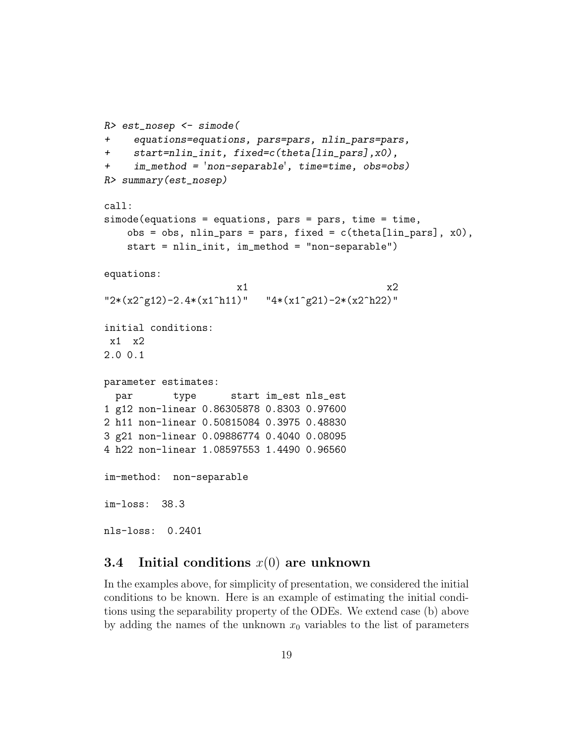```
R> est_nosep <- simode(
+ equations=equations, pars=pars, nlin_pars=pars,
+ start=nlin_init, fixed=c(theta[lin_pars],x0),
+ im_method = 'non-separable', time=time, obs=obs)
R> summary(est_nosep)
call:
simode(equations = equations, pars = pars, time = time,
   obs = obs, nlin\_pars = pars, fixed = c(theta[lin\_pars], x0),
   start = nlin_init, im_method = "non-separable")
equations:
                      x1 x2"2*(x2^q42)-2.4*(x1^h11)" "4*(x1^q21)-2*(x2^h22)"initial conditions:
x1 x2
2.0 0.1
parameter estimates:
 par type start im_est nls_est
1 g12 non-linear 0.86305878 0.8303 0.97600
2 h11 non-linear 0.50815084 0.3975 0.48830
3 g21 non-linear 0.09886774 0.4040 0.08095
4 h22 non-linear 1.08597553 1.4490 0.96560
im-method: non-separable
im-loss: 38.3
nls-loss: 0.2401
```
#### 3.4 Initial conditions *x*(0) are unknown

In the examples above, for simplicity of presentation, we considered the initial conditions to be known. Here is an example of estimating the initial conditions using the separability property of the ODEs. We extend case (b) above by adding the names of the unknown  $x_0$  variables to the list of parameters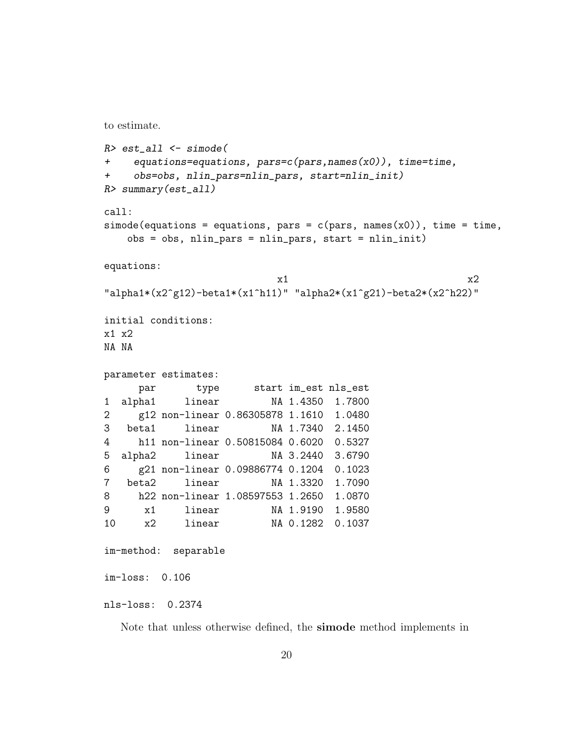```
to estimate.
```

```
R> est_all <- simode(
+ equations=equations, pars=c(pars,names(x0)), time=time,
+ obs=obs, nlin_pars=nlin_pars, start=nlin_init)
R> summary(est_all)
call:
simode(equations = equations, pars = c(pars, names(x0)), time = time,
   obs = obs, nlin_pars = nlin_pars, start = nlin_init)
equations:
                         x1 x2"alpha1*(x2^g12)-beta1*(x1^h11)" "alpha2*(x1^g21)-beta2*(x2^h22)"
initial conditions:
x1 x2
NA NA
parameter estimates:
    par type start im_est nls_est
1 alpha1 linear NA 1.4350 1.7800
2 g12 non-linear 0.86305878 1.1610 1.0480
3 beta1 linear NA 1.7340 2.1450
4 h11 non-linear 0.50815084 0.6020 0.5327
5 alpha2 linear NA 3.2440 3.6790
6 g21 non-linear 0.09886774 0.1204 0.1023
7 beta2 linear NA 1.3320 1.7090
8 h22 non-linear 1.08597553 1.2650 1.0870
9 x1 linear NA 1.9190 1.9580
10 x2 linear NA 0.1282 0.1037
im-method: separable
im-loss: 0.106
nls-loss: 0.2374
```
Note that unless otherwise defined, the simode method implements in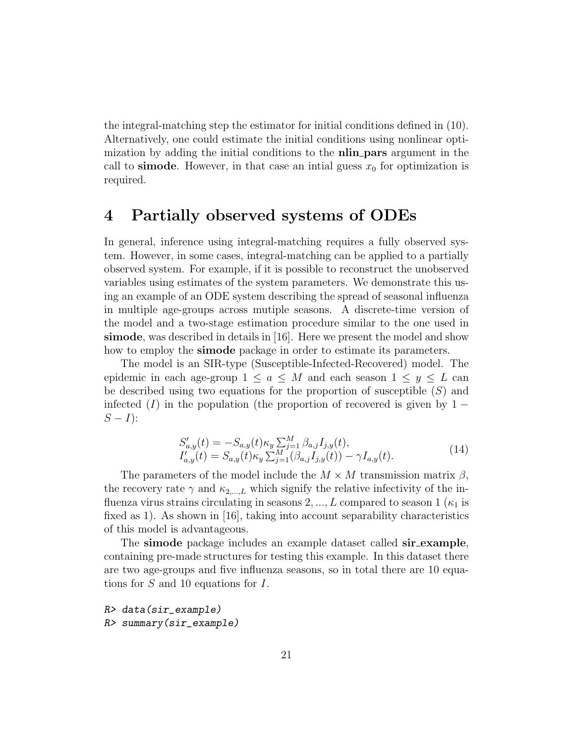the integral-matching step the estimator for initial conditions defined in (10). Alternatively, one could estimate the initial conditions using nonlinear optimization by adding the initial conditions to the **nlin pars** argument in the call to **simode**. However, in that case an intial guess  $x_0$  for optimization is required.

### 4 Partially observed systems of ODEs

In general, inference using integral-matching requires a fully observed system. However, in some cases, integral-matching can be applied to a partially observed system. For example, if it is possible to reconstruct the unobserved variables using estimates of the system parameters. We demonstrate this using an example of an ODE system describing the spread of seasonal influenza in multiple age-groups across mutiple seasons. A discrete-time version of the model and a two-stage estimation procedure similar to the one used in simode, was described in details in [16]. Here we present the model and show how to employ the **simode** package in order to estimate its parameters.

The model is an SIR-type (Susceptible-Infected-Recovered) model. The epidemic in each age-group  $1 \le a \le M$  and each season  $1 \le y \le L$  can be described using two equations for the proportion of susceptible (*S*) and infected  $(I)$  in the population (the proportion of recovered is given by 1 −  $S - I$ :

$$
S'_{a,y}(t) = -S_{a,y}(t)\kappa_y \sum_{j=1}^M \beta_{a,j} I_{j,y}(t),
$$
  
\n
$$
I'_{a,y}(t) = S_{a,y}(t)\kappa_y \sum_{j=1}^M (\beta_{a,j} I_{j,y}(t)) - \gamma I_{a,y}(t).
$$
\n(14)

The parameters of the model include the  $M \times M$  transmission matrix  $\beta$ , the recovery rate  $\gamma$  and  $\kappa_{2,\dots,L}$  which signify the relative infectivity of the influenza virus strains circulating in seasons  $2, ..., L$  compared to season  $1(\kappa_1)$  is fixed as 1). As shown in [16], taking into account separability characteristics of this model is advantageous.

The simode package includes an example dataset called sir\_example, containing pre-made structures for testing this example. In this dataset there are two age-groups and five influenza seasons, so in total there are 10 equations for *S* and 10 equations for *I*.

```
R> data(sir_example)
R> summary(sir_example)
```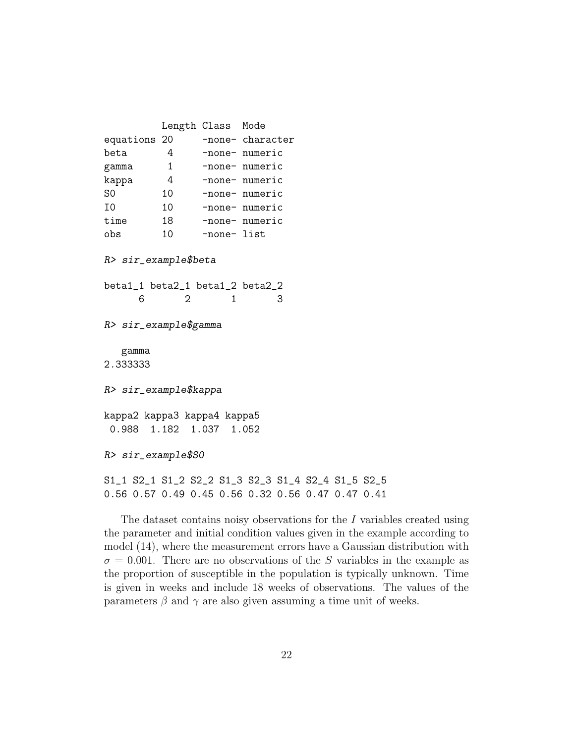Length Class Mode equations 20 -none- character beta 4 -none- numeric gamma 1 -none- numeric kappa 4 -none- numeric S0 10 -none- numeric I0 10 -none- numeric time 18 -none- numeric obs 10 -none- list R> sir\_example\$beta beta1\_1 beta2\_1 beta1\_2 beta2\_2 6 2 1 3 R> sir\_example\$gamma gamma 2.333333 R> sir\_example\$kappa kappa2 kappa3 kappa4 kappa5 0.988 1.182 1.037 1.052 R> sir\_example\$S0 S1\_1 S2\_1 S1\_2 S2\_2 S1\_3 S2\_3 S1\_4 S2\_4 S1\_5 S2\_5 0.56 0.57 0.49 0.45 0.56 0.32 0.56 0.47 0.47 0.41

The dataset contains noisy observations for the *I* variables created using the parameter and initial condition values given in the example according to model (14), where the measurement errors have a Gaussian distribution with  $\sigma = 0.001$ . There are no observations of the *S* variables in the example as the proportion of susceptible in the population is typically unknown. Time is given in weeks and include 18 weeks of observations. The values of the parameters  $\beta$  and  $\gamma$  are also given assuming a time unit of weeks.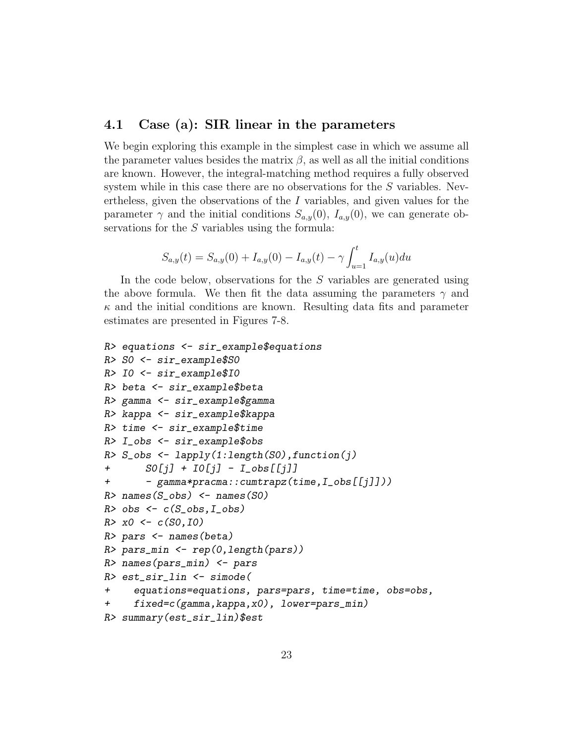#### 4.1 Case (a): SIR linear in the parameters

We begin exploring this example in the simplest case in which we assume all the parameter values besides the matrix  $\beta$ , as well as all the initial conditions are known. However, the integral-matching method requires a fully observed system while in this case there are no observations for the *S* variables. Nevertheless, given the observations of the *I* variables, and given values for the parameter  $\gamma$  and the initial conditions  $S_{a,y}(0)$ ,  $I_{a,y}(0)$ , we can generate observations for the *S* variables using the formula:

$$
S_{a,y}(t) = S_{a,y}(0) + I_{a,y}(0) - I_{a,y}(t) - \gamma \int_{u=1}^{t} I_{a,y}(u) du
$$

In the code below, observations for the *S* variables are generated using the above formula. We then fit the data assuming the parameters  $\gamma$  and  $\kappa$  and the initial conditions are known. Resulting data fits and parameter estimates are presented in Figures 7-8.

```
R> equations <- sir_example$equations
R> S0 <- sir_example$S0
R> I0 <- sir_example$I0
R> beta <- sir_example$beta
R> gamma <- sir_example$gamma
R> kappa <- sir_example$kappa
R> time <- sir_example$time
R> I_obs <- sir_example$obs
R > S_{obs} < - lapply(1:length(S0), function(j)
+ S0[j] + I0[j] - I_obs[[j]]
+ - gamma*pracma::cumtrapz(time,I_obs[[j]]))
R> names(S_obs) <- names(SO)
R> obs \leftarrow c(S_obs, I_obs)
R > x0 \leftarrow c(S0, I0)R> pars <- names(beta)
R> pars_min <- rep(0,length(pars))
R> names(pars_min) <- pars
R> est_sir_lin <- simode(
+ equations=equations, pars=pars, time=time, obs=obs,
     fixed=c(gamma, kappa, x0), lower=pars_min)
R> summary(est_sir_lin)$est
```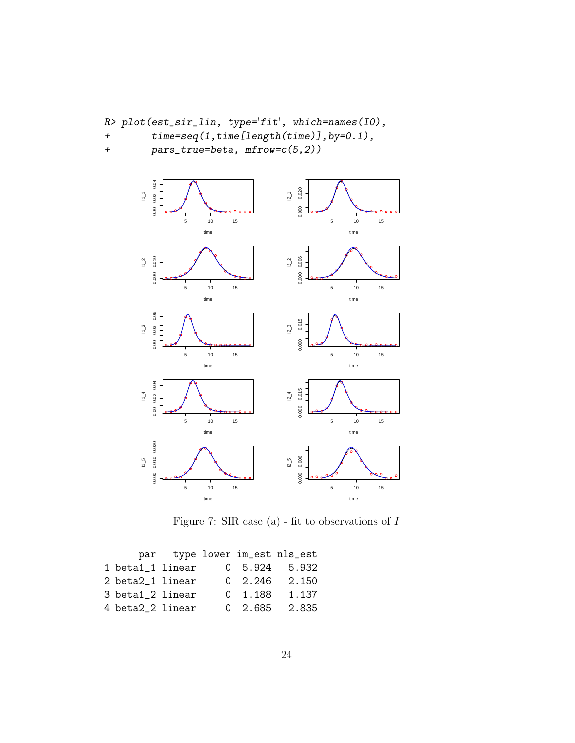```
R> plot(est_sir_lin, type='fit', which=names(I0),
```
- + time=seq(1,time[length(time)],by=0.1),
- + pars\_true=beta, mfrow=c(5,2))



Figure 7: SIR case (a) - fit to observations of *I*

|                  |  |                 | par type lower im_est nls_est |
|------------------|--|-----------------|-------------------------------|
| 1 beta1_1 linear |  | 0 5.924         | 5.932                         |
| 2 beta2_1 linear |  | $0 \quad 2.246$ | 2.150                         |
| 3 beta1_2 linear |  | $0 \quad 1.188$ | 1.137                         |
| 4 beta2_2 linear |  | $0\quad 2.685$  | 2.835                         |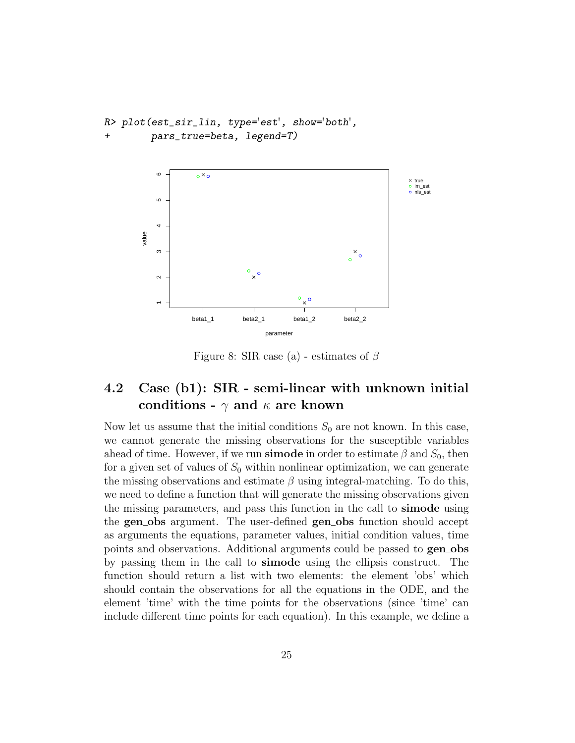```
R> plot(est_sir_lin, type='est', show='both',
        pars_true=beta, legend=T)
```


Figure 8: SIR case (a) - estimates of *β*

### 4.2 Case (b1): SIR - semi-linear with unknown initial conditions -  $\gamma$  and  $\kappa$  are known

Now let us assume that the initial conditions  $S_0$  are not known. In this case, we cannot generate the missing observations for the susceptible variables ahead of time. However, if we run **simode** in order to estimate  $\beta$  and  $S_0$ , then for a given set of values of  $S_0$  within nonlinear optimization, we can generate the missing observations and estimate  $\beta$  using integral-matching. To do this, we need to define a function that will generate the missing observations given the missing parameters, and pass this function in the call to simode using the **gen** obs argument. The user-defined **gen** obs function should accept as arguments the equations, parameter values, initial condition values, time points and observations. Additional arguments could be passed to **genobs** by passing them in the call to simode using the ellipsis construct. The function should return a list with two elements: the element 'obs' which should contain the observations for all the equations in the ODE, and the element 'time' with the time points for the observations (since 'time' can include different time points for each equation). In this example, we define a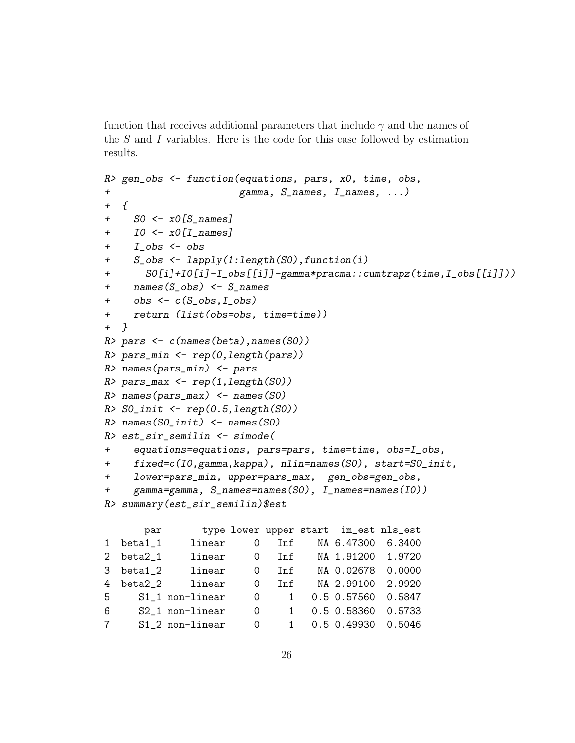function that receives additional parameters that include *γ* and the names of the *S* and *I* variables. Here is the code for this case followed by estimation results.

```
R> gen_obs <- function(equations, pars, x0, time, obs,
                     gamma, S_names, I_names, \ldots)
+ {
+ S0 <- x0[S_names]
+ IO \leftarrow x0 [I_names]
+ I_obs <- obs
+ S_obs <- lapply(1:length(S0),function(i)
+ S0[i]+I0[i]-I_obs[[i]]-gamma*pracma::cumtrapz(time,I_obs[[i]]))
+ names(S_obs) <- S_names
+ obs \leftarrow c(S\_obs, I\_obs)+ return (list(obs=obs, time=time))
+ }
R> pars \leftarrow c(names(beta), names(S0))
R> pars_min <- rep(0,length(pars))
R> names(pars_min) \leq pars
R> pars_max <- rep(1,length(S0))
R> names(pars_max) \leq names(SO)
R > SO_init \leftarrow rep(0.5, length(S0))R> names(SO\_init) <- names(SO)
R> est_sir_semilin <- simode(
+ equations=equations, pars=pars, time=time, obs=I_obs,
+ fixed=c(I0,gamma,kappa), nlin=names(S0), start=S0_init,
+ lower=pars_min, upper=pars_max, gen_obs=gen_obs,
+ gamma=gamma, S_names=names(S0), I_names=names(I0))
R> summary(est_sir_semilin)$est
      par type lower upper start im_est nls_est
1 beta1_1 linear 0 Inf NA 6.47300 6.3400
2 beta2_1 linear 0 Inf NA 1.91200 1.9720
3 beta1_2 linear 0 Inf NA 0.02678 0.0000
4 beta2_2 linear 0 Inf NA 2.99100 2.9920
5 S1_1 non-linear 0 1 0.5 0.57560 0.5847
6 S2_1 non-linear 0 1 0.5 0.58360 0.5733
```
7 S1\_2 non-linear 0 1 0.5 0.49930 0.5046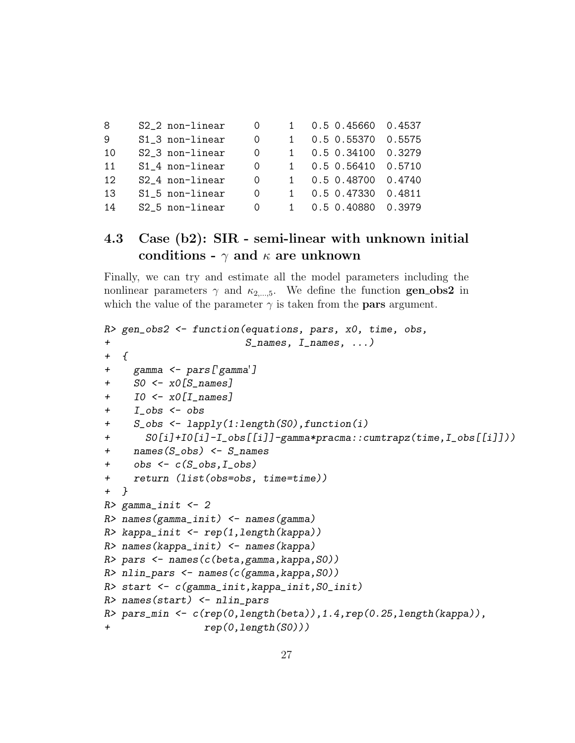| 8               | S2_2 non-linear | $\Omega$ |              | $0.5$ 0.45660 0.4537 |        |
|-----------------|-----------------|----------|--------------|----------------------|--------|
| -9              | S1_3 non-linear | 0        |              | 0.5 0.55370          | 0.5575 |
| 10              | S2_3 non-linear | 0        | $\mathbf{1}$ | $0.5$ 0.34100 0.3279 |        |
| 11              | S1_4 non-linear | 0        |              | $0.5$ 0.56410 0.5710 |        |
| 12 <sub>1</sub> | S2_4 non-linear | 0        | $1 \quad$    | 0.5 0.48700 0.4740   |        |
| 13              | S1_5 non-linear | 0        |              | 0.5 0.47330 0.4811   |        |
| 14              | S2_5 non-linear | 0        |              | 0.5 0.40880 0.3979   |        |

### 4.3 Case (b2): SIR - semi-linear with unknown initial conditions -  $\gamma$  and  $\kappa$  are unknown

Finally, we can try and estimate all the model parameters including the nonlinear parameters  $\gamma$  and  $\kappa_{2,...,5}$ . We define the function **genobs2** in which the value of the parameter  $\gamma$  is taken from the **pars** argument.

```
R> gen_obs2 <- function(equations, pars, x0, time, obs,
+ S_names, I_names, ...)
+ \{+ gamma <- pars['gamma']
+ S0 <- x0[S_names]
+ I0 <- x0[I_names]
+ I_obs <- obs
+ S_obs <- lapply(1:length(S0),function(i)
+ S0[i]+I0[i]-I_obs[[i]]-gamma*pracma::cumtrapz(time,I_obs[[i]]))
+ names(S_obs) <- S_names
+ \circbs <- c(S_{\text{-}obs}, I_{\text{-}obs})+ return (list(obs=obs, time=time))
+ }
R> gamma_init <- 2
R> names(gamma_init) \leq names(gamma)
R> kappa_init <- rep(1,length(kappa))
R> names(kappa_init) <- names(kappa)
R> pars <- names(c(beta, gamma, kappa, SO())
R> nlin_pars <- names(c(gamma, kappa, SO))
R> start <- c(gamma_init,kappa_init,S0_init)
R> names(start) \le nlin_pars
R> pars_min <- c(rep(0,length(beta)),1.4,rep(0.25,length(kappa)),
+ rep(0,length(S0)))
```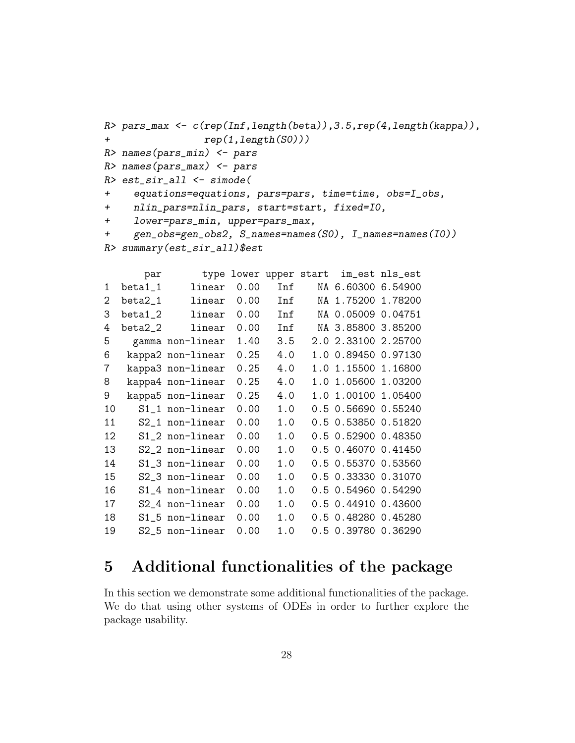```
R> pars_max <- c(rep(Inf,length(beta)),3.5,rep(4,length(kappa)),
+ rep(1,length(S0)))
R> names(pars_min) <- pars
R> names(pars_max) <- pars
R> est_sir_all <- simode(
+ equations=equations, pars=pars, time=time, obs=I_obs,
+ nlin_pars=nlin_pars, start=start, fixed=I0,
+ lower=pars_min, upper=pars_max,
+ gen_obs=gen_obs2, S_names=names(S0), I_names=names(I0))
R> summary(est_sir_all)$est
```

|    | par       |                   |      |     | type lower upper start im_est nls_est |  |
|----|-----------|-------------------|------|-----|---------------------------------------|--|
| 1  | beta1_1   | linear            | 0.00 | Inf | NA 6.60300 6.54900                    |  |
| 2  | beta2_1   | linear            | 0.00 | Inf | NA 1.75200 1.78200                    |  |
| 3  | beta1_2   | linear            | 0.00 | Inf | NA 0.05009 0.04751                    |  |
| 4  | $beta2_2$ | linear            | 0.00 | Inf | NA 3.85800 3.85200                    |  |
| 5  |           | gamma non-linear  | 1.40 | 3.5 | 2.0 2.33100 2.25700                   |  |
| 6  |           | kappa2 non-linear | 0.25 | 4.0 | 1.0 0.89450 0.97130                   |  |
| 7  |           | kappa3 non-linear | 0.25 | 4.0 | 1.0 1.15500 1.16800                   |  |
| 8  |           | kappa4 non-linear | 0.25 | 4.0 | 1.0 1.05600 1.03200                   |  |
| 9  |           | kappa5 non-linear | 0.25 | 4.0 | 1.0 1.00100 1.05400                   |  |
| 10 |           | S1_1 non-linear   | 0.00 | 1.0 | 0.5 0.56690 0.55240                   |  |
| 11 |           | S2_1 non-linear   | 0.00 | 1.0 | 0.5 0.53850 0.51820                   |  |
| 12 |           | S1_2 non-linear   | 0.00 | 1.0 | 0.5 0.52900 0.48350                   |  |
| 13 |           | S2_2 non-linear   | 0.00 | 1.0 | 0.5 0.46070 0.41450                   |  |
| 14 |           | S1_3 non-linear   | 0.00 | 1.0 | 0.5 0.55370 0.53560                   |  |
| 15 |           | S2_3 non-linear   | 0.00 | 1.0 | 0.5 0.33330 0.31070                   |  |
| 16 |           | S1_4 non-linear   | 0.00 | 1.0 | 0.5 0.54960 0.54290                   |  |
| 17 |           | S2_4 non-linear   | 0.00 | 1.0 | 0.5 0.44910 0.43600                   |  |
| 18 |           | S1_5 non-linear   | 0.00 | 1.0 | 0.5 0.48280 0.45280                   |  |
| 19 |           | S2_5 non-linear   | 0.00 | 1.0 | 0.5 0.39780 0.36290                   |  |

### 5 Additional functionalities of the package

In this section we demonstrate some additional functionalities of the package. We do that using other systems of ODEs in order to further explore the package usability.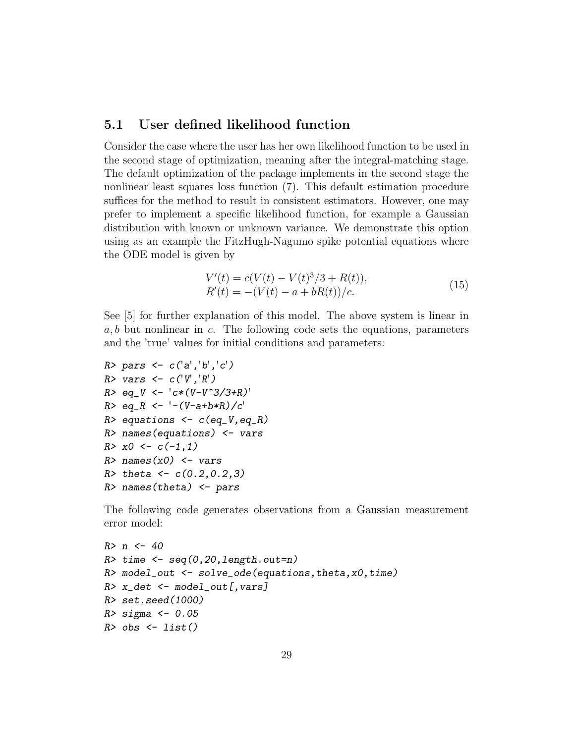#### 5.1 User defined likelihood function

Consider the case where the user has her own likelihood function to be used in the second stage of optimization, meaning after the integral-matching stage. The default optimization of the package implements in the second stage the nonlinear least squares loss function (7). This default estimation procedure suffices for the method to result in consistent estimators. However, one may prefer to implement a specific likelihood function, for example a Gaussian distribution with known or unknown variance. We demonstrate this option using as an example the FitzHugh-Nagumo spike potential equations where the ODE model is given by

$$
V'(t) = c(V(t) - V(t)^{3}/3 + R(t)),
$$
  
\n
$$
R'(t) = -(V(t) - a + bR(t))/c.
$$
\n(15)

See [5] for further explanation of this model. The above system is linear in *a, b* but nonlinear in *c*. The following code sets the equations, parameters and the 'true' values for initial conditions and parameters:

```
R> pars <- c('a', 'b', 'c')R> vars <- c('V', 'R')R > eq V <- c*(V-V^3/3+R)'R > eq_R < -1 - (V-a+b*B)/c'R> equations \leq c(eq_V,eq_R)
R> names(equations) <- vars
R > x0 \le -c(-1,1)R> names(x0) <- vars
R> theta <- c(0.2, 0.2, 3)R> names(theta) \leq pars
```
The following code generates observations from a Gaussian measurement error model:

```
R > n < -40R> time \leq seq(0,20,length.out=n)
R > model_out \leq solve_ode(equations, theta, x0, time)
R> x_det \leq model_out[, vars]
R> set.seed(1000)
R> sigma <- 0.05
R> obs \leq list()
```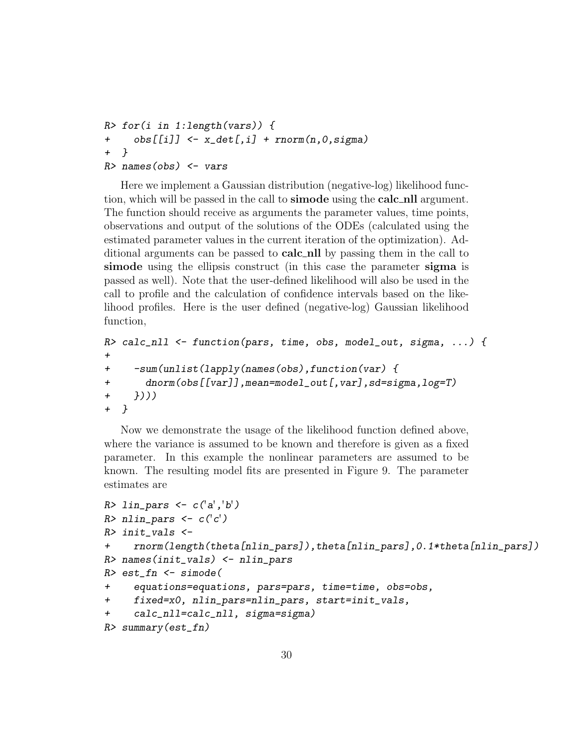```
R> for(i in 1:length(vars)) {
+ obs[[i]] <- x_det[,i] + rnorm(n,0,sigma)
+ }
R> names(obs) \leq vars
```
Here we implement a Gaussian distribution (negative-log) likelihood function, which will be passed in the call to **simode** using the **calc** nll argument. The function should receive as arguments the parameter values, time points, observations and output of the solutions of the ODEs (calculated using the estimated parameter values in the current iteration of the optimization). Additional arguments can be passed to **calc** nll by passing them in the call to simode using the ellipsis construct (in this case the parameter sigma is passed as well). Note that the user-defined likelihood will also be used in the call to profile and the calculation of confidence intervals based on the likelihood profiles. Here is the user defined (negative-log) Gaussian likelihood function,

```
R> calc_nll <- function(pars, time, obs, model_out, sigma, ...) {
+
+ -sum(unlist(lapply(names(obs),function(var) {
+ dnorm(obs[[var]],mean=model_out[,var],sd=sigma,log=T)
+ })))
+ }
```
Now we demonstrate the usage of the likelihood function defined above, where the variance is assumed to be known and therefore is given as a fixed parameter. In this example the nonlinear parameters are assumed to be known. The resulting model fits are presented in Figure 9. The parameter estimates are

```
R> lin_pars <- c('a', 'b')R> nlin_pars <- c('c')R> init_vals <-
+ rnorm(length(theta[nlin_pars]),theta[nlin_pars],0.1*theta[nlin_pars])
R> names(init_vals) <- nlin_pars
R> est_fn <- simode(
+ equations=equations, pars=pars, time=time, obs=obs,
+ fixed=x0, nlin_pars=nlin_pars, start=init_vals,
+ calc_nll=calc_nll, sigma=sigma)
R> summary(est_fn)
```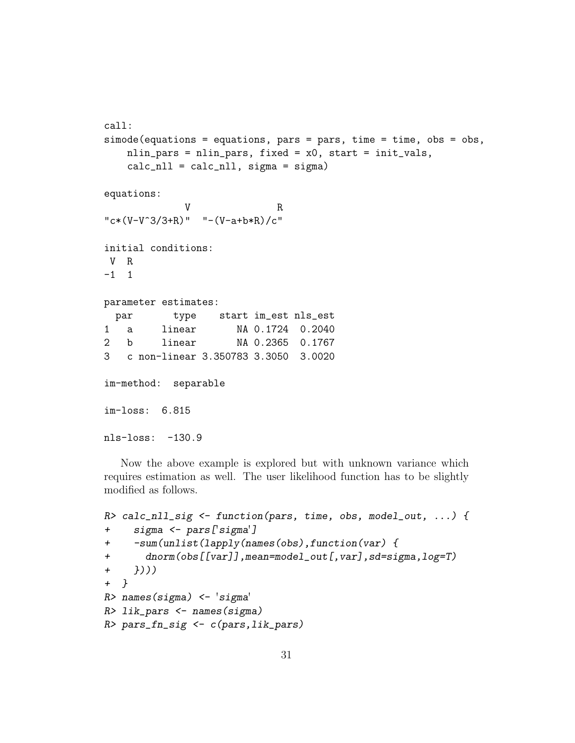```
call:
simode(equations = equations, pars = pars, time = time, obs = obs,
   nlin_pars = nlin_pars, fixed = x0, start = init_vals,
   calc\_nll = calc\_nll, sigma = sigma)equations:
             V R
"c*(V-V^3/3+R)" "-(V-a+b*R)/c"initial conditions:
V R
-1 1
parameter estimates:
 par type start im_est nls_est
1 a linear NA 0.1724 0.2040
2 b linear NA 0.2365 0.1767
3 c non-linear 3.350783 3.3050 3.0020
im-method: separable
im-loss: 6.815
nls-loss: -130.9
```
Now the above example is explored but with unknown variance which requires estimation as well. The user likelihood function has to be slightly modified as follows.

```
R> calc_nll_sig <- function(pars, time, obs, model_out, ...) {
+ sigma <- pars['sigma']
+ -sum(unlist(lapply(names(obs),function(var) {
+ dnorm(obs[[var]],mean=model_out[,var],sd=sigma,log=T)
+ })))
+ }
R> names(sigma) <- 'sigma'
R> lik_pars <- names(sigma)
R> pars_fn_sig <- c(pars, lik_pars)
```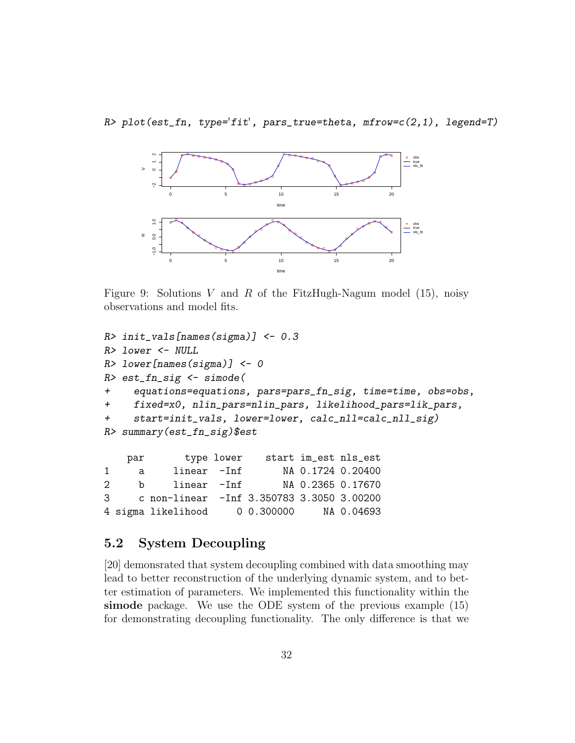$R$ > plot(est\_fn, type='fit', pars\_true=theta, mfrow=c(2,1), legend=T)



Figure 9: Solutions *V* and *R* of the FitzHugh-Nagum model (15), noisy observations and model fits.

```
R> init_vals[names(sigma)] <- 0.3
R> lower <- NULL
R> lower[names(sigma)] <- 0
R> est_fn_sig <- simode(
+ equations=equations, pars=pars_fn_sig, time=time, obs=obs,
+ fixed=x0, nlin_pars=nlin_pars, likelihood_pars=lik_pars,
+ start=init_vals, lower=lower, calc_nll=calc_nll_sig)
R> summary(est_fn_sig)$est
   par type lower start im_est nls_est
1 a linear -Inf NA 0.1724 0.20400
2 b linear -Inf NA 0.2365 0.17670
3 c non-linear -Inf 3.350783 3.3050 3.00200
4 sigma likelihood 0 0.300000 NA 0.04693
```
#### 5.2 System Decoupling

[20] demonsrated that system decoupling combined with data smoothing may lead to better reconstruction of the underlying dynamic system, and to better estimation of parameters. We implemented this functionality within the simode package. We use the ODE system of the previous example (15) for demonstrating decoupling functionality. The only difference is that we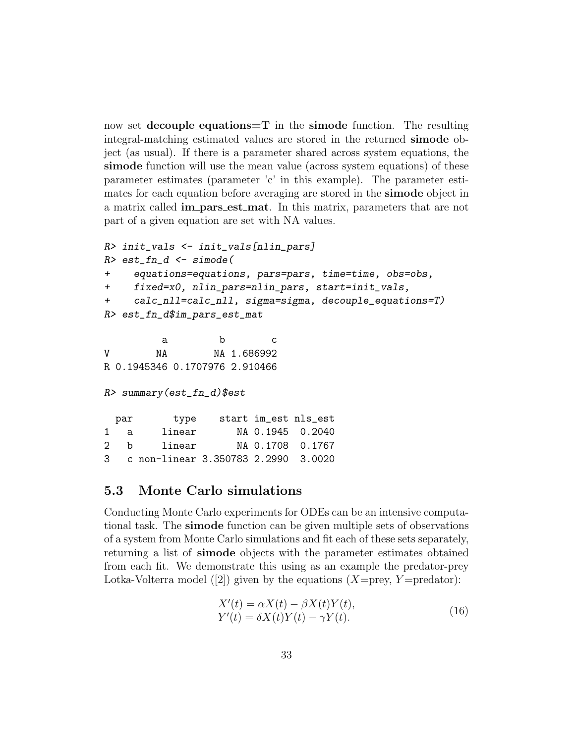now set decouple equations  $=T$  in the simode function. The resulting integral-matching estimated values are stored in the returned simode object (as usual). If there is a parameter shared across system equations, the simode function will use the mean value (across system equations) of these parameter estimates (parameter 'c' in this example). The parameter estimates for each equation before averaging are stored in the **simode** object in a matrix called im pars est mat. In this matrix, parameters that are not part of a given equation are set with NA values.

```
R> init_vals <- init_vals[nlin_pars]
R> est_fn_d <- simode(
+ equations=equations, pars=pars, time=time, obs=obs,
+ fixed=x0, nlin_pars=nlin_pars, start=init_vals,
+ calc_nll=calc_nll, sigma=sigma, decouple_equations=T)
R> est_fn_d$im_pars_est_mat
        a b c
V NA NA 1.686992
R 0.1945346 0.1707976 2.910466
R> summary(est_fn_d)$est
 par type start im_est nls_est
1 a linear NA 0.1945 0.2040
2 b linear NA 0.1708 0.1767
3 c non-linear 3.350783 2.2990 3.0020
```
#### 5.3 Monte Carlo simulations

Conducting Monte Carlo experiments for ODEs can be an intensive computational task. The simode function can be given multiple sets of observations of a system from Monte Carlo simulations and fit each of these sets separately, returning a list of simode objects with the parameter estimates obtained from each fit. We demonstrate this using as an example the predator-prey Lotka-Volterra model ([2]) given by the equations  $(X=prey, Y=predator)$ :

$$
X'(t) = \alpha X(t) - \beta X(t)Y(t),
$$
  
\n
$$
Y'(t) = \delta X(t)Y(t) - \gamma Y(t).
$$
\n(16)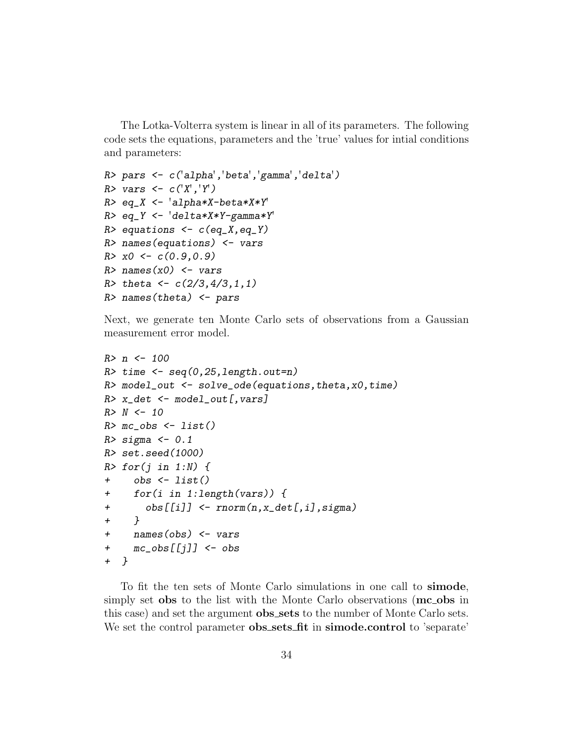The Lotka-Volterra system is linear in all of its parameters. The following code sets the equations, parameters and the 'true' values for intial conditions and parameters:

```
R> pars <- c('alpha','beta','gamma','delta')
R> vars <- c('X', 'Y')R> eq_X <- 'alpha*X-beta*X*Y'
R> eq_Y <- 'delta*X*Y-gamma*Y'
R> equations \leftarrow c(eq_X,eq_Y)
R> names(equations) \leq vars
R > x0 \leq c(0.9, 0.9)R> names(x0) <- vars
R> theta <- c(2/3, 4/3, 1, 1)R> names(theta) \leq pars
```
Next, we generate ten Monte Carlo sets of observations from a Gaussian measurement error model.

```
R > n < - 100R> time \leq seq(0,25, length.out=n)
R> model_out \leq solve_ode(equations, theta, x0, time)
R> x_det <- model_out[,vars]
R > N < - 10R> mc\_obs <- list()
R> sigma <- 0.1
R> set.seed(1000)
R > for(j in 1:N) {
+ obs <- list()
+ for(i in 1:length(vars)) {
+ obs[[i]] <- rnorm(n,x_det[,i],sigma)
+ }
+ names(obs) <- vars
+ mc_obs[[j]] <- obs
+ }
```
To fit the ten sets of Monte Carlo simulations in one call to simode, simply set obs to the list with the Monte Carlo observations ( $mc_{\sim}$ obs in this case) and set the argument **obs\_sets** to the number of Monte Carlo sets. We set the control parameter **obs\_sets\_fit** in **simode.control** to 'separate'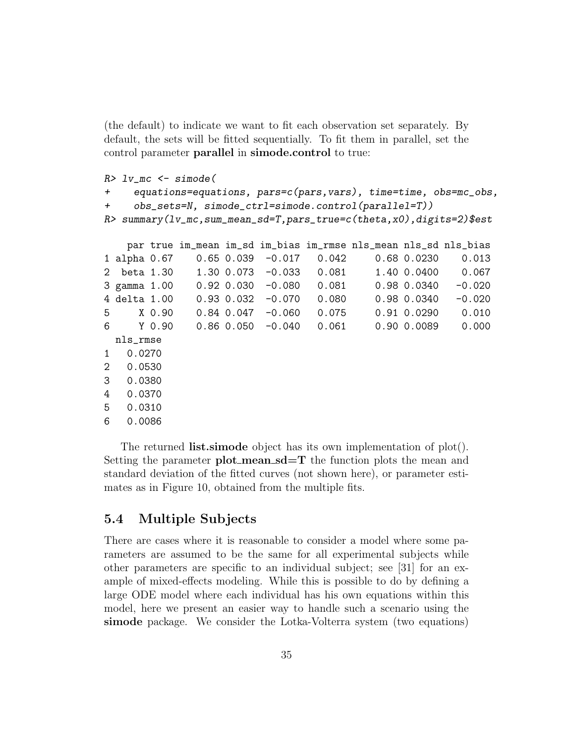(the default) to indicate we want to fit each observation set separately. By default, the sets will be fitted sequentially. To fit them in parallel, set the control parameter parallel in simode.control to true:

```
R> lv_mc \leq simode(
+ equations=equations, pars=c(pars,vars), time=time, obs=mc_obs,
+ obs_sets=N, simode_ctrl=simode.control(parallel=T))
R> summary(lv_mc,sum_mean_sd=T,pars_true=c(theta,x0),digits=2)$est
   par true im_mean im_sd im_bias im_rmse nls_mean nls_sd nls_bias
1 alpha 0.67 0.65 0.039 -0.017 0.042 0.68 0.0230 0.013
2 beta 1.30 1.30 0.073 -0.033 0.081 1.40 0.0400 0.067
```

|                | 3 gamma 1.00 | $0.92$ $0.030$ $-0.080$ | 0.081 | 0.98 0.0340     | $-0.020$ |
|----------------|--------------|-------------------------|-------|-----------------|----------|
|                | 4 delta 1.00 | $0.93$ $0.032$ $-0.070$ | 0.080 | 0.98 0.0340     | $-0.020$ |
| 5              | X 0.90       | $0.84$ 0.047 $-0.060$   | 0.075 | $0.91$ $0.0290$ | 0.010    |
| 6              | Y 0.90       | $0.86$ 0.050 $-0.040$   | 0.061 | 0.90 0.0089     | 0.000    |
|                | nls_rmse     |                         |       |                 |          |
| $1 \quad$      | 0.0270       |                         |       |                 |          |
| $\overline{2}$ | 0.0530       |                         |       |                 |          |
| 3              | 0.0380       |                         |       |                 |          |
| 4              | 0.0370       |                         |       |                 |          |
| 5              | 0.0310       |                         |       |                 |          |
|                |              |                         |       |                 |          |

6 0.0086

The returned **list.simode** object has its own implementation of plot(). Setting the parameter  $plot_mean\_sd=T$  the function plots the mean and standard deviation of the fitted curves (not shown here), or parameter estimates as in Figure 10, obtained from the multiple fits.

#### 5.4 Multiple Subjects

There are cases where it is reasonable to consider a model where some parameters are assumed to be the same for all experimental subjects while other parameters are specific to an individual subject; see [31] for an example of mixed-effects modeling. While this is possible to do by defining a large ODE model where each individual has his own equations within this model, here we present an easier way to handle such a scenario using the simode package. We consider the Lotka-Volterra system (two equations)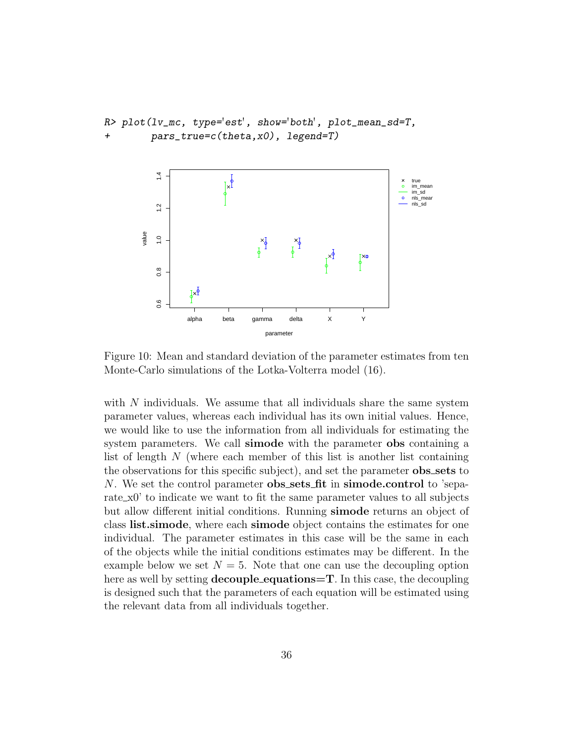```
R> plot(lv_mc, type='est', show='both', plot_mean_sd=T,
        pars\_true=c(theta,x0), legend=T)
```


Figure 10: Mean and standard deviation of the parameter estimates from ten Monte-Carlo simulations of the Lotka-Volterra model (16).

with *N* individuals. We assume that all individuals share the same system parameter values, whereas each individual has its own initial values. Hence, we would like to use the information from all individuals for estimating the system parameters. We call **simode** with the parameter **obs** containing a list of length *N* (where each member of this list is another list containing the observations for this specific subject), and set the parameter **obs\_sets** to *N*. We set the control parameter **obs\_sets\_fit** in **simode.control** to 'separate  $x_0$ ' to indicate we want to fit the same parameter values to all subjects but allow different initial conditions. Running simode returns an object of class list.simode, where each simode object contains the estimates for one individual. The parameter estimates in this case will be the same in each of the objects while the initial conditions estimates may be different. In the example below we set  $N = 5$ . Note that one can use the decoupling option here as well by setting **decouple\_equations=T**. In this case, the decoupling is designed such that the parameters of each equation will be estimated using the relevant data from all individuals together.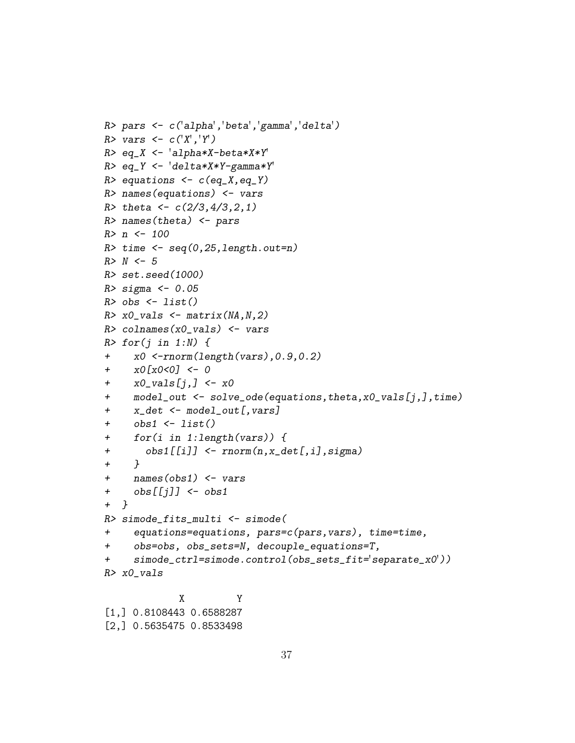```
R> pars <- c('alpha','beta','gamma','delta')
R> vars <- c('X', 'Y')R> eq_X <- 'alpha*X-beta*X*Y'
R> eq_Y <- 'delta*X*Y-gamma*Y'
R> equations \leftarrow c(eq_X,eq_Y)
R> names(equations) \leq vars
R> theta <- c(2/3, 4/3, 2, 1)R> names(theta) \leq pars
R > n <- 100
R> time \leq seq(0,25,length.out=n)
R > N < -5R> set.seed(1000)
R > sigma <- 0.05
R> obs \leftarrow list()
R> x0_vals <- matrix(NA, N, 2)
R> colnames(x0_vals) \leq vars
R > for(j in 1:N) {
+ x0 <-rnorm(length(vars),0.9,0.2)
+ x0[x0<0] <- 0
+ x0<sub>-</sub>vals[j,] <- x0+ model_out <- solve_ode(equations,theta,x0_vals[j,],time)
+ x_det <- model_out[,vars]
+ obs1 \leftarrow list()
+ for(i in 1:length(vars)) {
+ obs1[[i]] <- rnorm(n,x_det[,i],sigma)
+ }
+ names(obs1) <- vars
+ \circbs[[j]] <- \circbs1
+ }
R> simode_fits_multi <- simode(
+ equations=equations, pars=c(pars,vars), time=time,
+ obs=obs, obs_sets=N, decouple_equations=T,
+ simode_ctrl=simode.control(obs_sets_fit='separate_x0'))
R> x0_vals
             X Y
```

```
[1,] 0.8108443 0.6588287
[2,] 0.5635475 0.8533498
```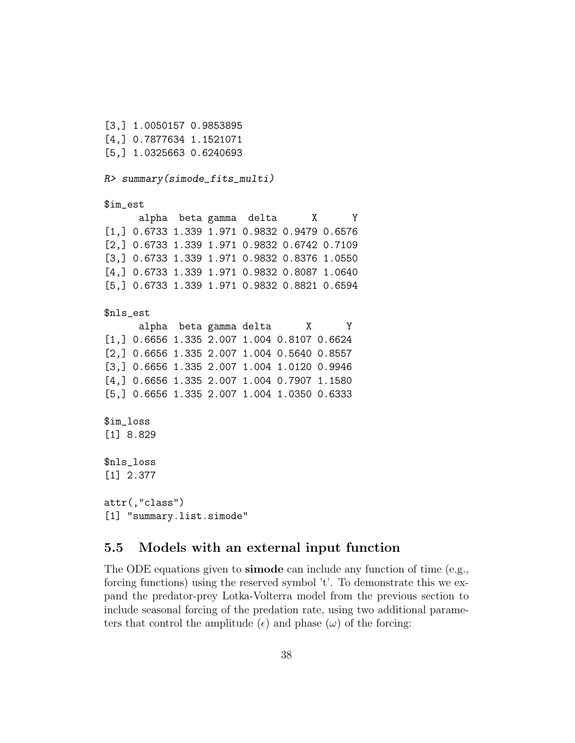[3,] 1.0050157 0.9853895 [4,] 0.7877634 1.1521071 [5,] 1.0325663 0.6240693

R> summary(simode\_fits\_multi)

\$im\_est

alpha beta gamma delta X Y [1,] 0.6733 1.339 1.971 0.9832 0.9479 0.6576 [2,] 0.6733 1.339 1.971 0.9832 0.6742 0.7109 [3,] 0.6733 1.339 1.971 0.9832 0.8376 1.0550 [4,] 0.6733 1.339 1.971 0.9832 0.8087 1.0640 [5,] 0.6733 1.339 1.971 0.9832 0.8821 0.6594

#### \$nls\_est

alpha beta gamma delta X Y [1,] 0.6656 1.335 2.007 1.004 0.8107 0.6624 [2,] 0.6656 1.335 2.007 1.004 0.5640 0.8557 [3,] 0.6656 1.335 2.007 1.004 1.0120 0.9946 [4,] 0.6656 1.335 2.007 1.004 0.7907 1.1580 [5,] 0.6656 1.335 2.007 1.004 1.0350 0.6333

\$im\_loss [1] 8.829

\$nls\_loss [1] 2.377

attr(,"class") [1] "summary.list.simode"

#### 5.5 Models with an external input function

The ODE equations given to **simode** can include any function of time (e.g., forcing functions) using the reserved symbol 't'. To demonstrate this we expand the predator-prey Lotka-Volterra model from the previous section to include seasonal forcing of the predation rate, using two additional parameters that control the amplitude  $(\epsilon)$  and phase  $(\omega)$  of the forcing: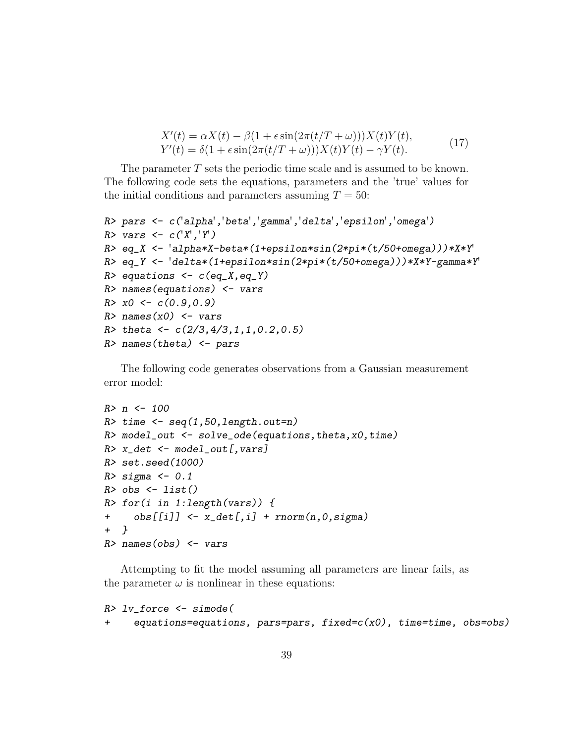$$
X'(t) = \alpha X(t) - \beta(1 + \epsilon \sin(2\pi(t/T + \omega)))X(t)Y(t),
$$
  
\n
$$
Y'(t) = \delta(1 + \epsilon \sin(2\pi(t/T + \omega)))X(t)Y(t) - \gamma Y(t).
$$
\n(17)

The parameter T sets the periodic time scale and is assumed to be known. The following code sets the equations, parameters and the 'true' values for the initial conditions and parameters assuming  $T = 50$ :

```
R> pars <- c('alpha','beta','gamma','delta','epsilon','omega')
R> vars <- c('X', 'Y')R> eq_X <- 'alpha*X-beta*(1+epsilon*sin(2*pi*(t/50+omega)))*X*Y'
R> eq_Y <- 'delta*(1+epsilon*sin(2*pi*(t/50+omega)))*X*Y-gamma*Y'
R> equations \leftarrow c(eq_X,eq_Y)
R> names(equations) <- vars
R > x0 \leftarrow c(0.9, 0.9)R> names(x0) <- vars
R> theta <- c(2/3, 4/3, 1, 1, 0.2, 0.5)R> names(theta) \leq pars
```
The following code generates observations from a Gaussian measurement error model:

```
R > n < - 100R> time \leq seq(1,50,length.out=n)
R> model_out <- solve_ode(equations,theta,x0,time)
R> x_det \leq model_out[, vars]
R> set.seed(1000)
R> sigma <- 0.1
R> obs \leftarrow list()
R> for(i in 1:length(vars)) {
+ obs[[i]] \leftarrow x\_det[, i] + rnorm(n, 0, sigma)+ }
R> names(obs) \leq vars
```
Attempting to fit the model assuming all parameters are linear fails, as the parameter  $\omega$  is nonlinear in these equations:

```
R> lv_force <- simode(
+ equations=equations, pars=pars, fixed=c(x0), time=time, obs=obs)
```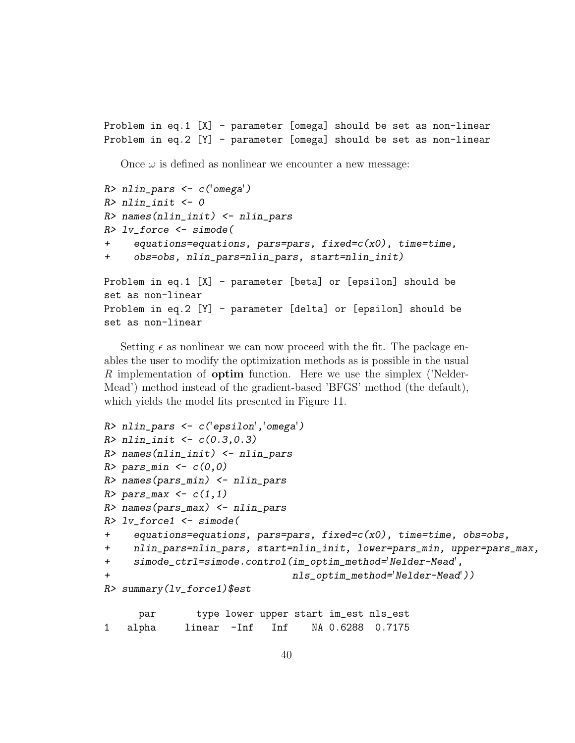Problem in eq.1 [X] - parameter [omega] should be set as non-linear Problem in eq.2 [Y] - parameter [omega] should be set as non-linear

Once  $\omega$  is defined as nonlinear we encounter a new message:

```
R> nlin_pars <- c('omega')
R> nlin_init <- 0
R> names(nlin_init) <- nlin_pars
R> lv_force \leq simode(
+ equations=equations, pars=pars, fixed=c(x0), time=time,
     + obs=obs, nlin_pars=nlin_pars, start=nlin_init)
Problem in eq.1 [X] - parameter [beta] or [epsilon] should be
set as non-linear
Problem in eq.2 [Y] - parameter [delta] or [epsilon] should be
set as non-linear
```
Setting  $\epsilon$  as nonlinear we can now proceed with the fit. The package enables the user to modify the optimization methods as is possible in the usual R implementation of optim function. Here we use the simplex ('Nelder-Mead') method instead of the gradient-based 'BFGS' method (the default), which yields the model fits presented in Figure 11.

```
R> nlin_pars <- c('epsilon','omega')
R > nlin_init <- c(0.3, 0.3)R> names(nlin_init) <- nlin_pars
R> pars_min <- c(0,0)R> names(pars_min) <- nlin_pars
R> pars_max <- c(1,1)R> names(pars_max) <- nlin_pars
R> lv_force1 <- simode(
     equations=equations, parse-pars, fixed=c(x0), time = time, obs = obs,+ nlin_pars=nlin_pars, start=nlin_init, lower=pars_min, upper=pars_max,
+ simode_ctrl=simode.control(im_optim_method='Nelder-Mead',
                                nls_optim_method='Nelder-Mead'))
R> summary(lv_force1)$est
```
par type lower upper start im\_est nls\_est 1 alpha linear -Inf Inf NA 0.6288 0.7175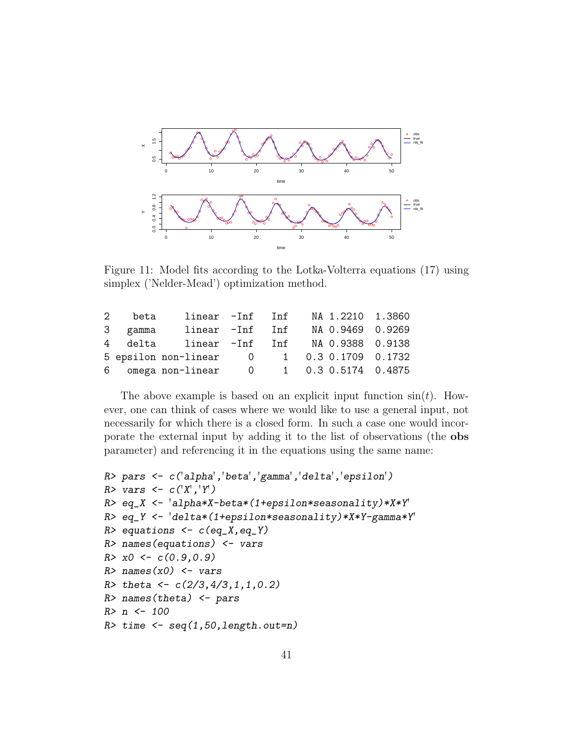

Figure 11: Model fits according to the Lotka-Volterra equations (17) using simplex ('Nelder-Mead') optimization method.

| $2^{\circ}$ | beta    | linear -Inf Inf      |   | NA 1.2210 1.3860    |  |
|-------------|---------|----------------------|---|---------------------|--|
|             | 3 gamma | linear -Inf Inf      |   | NA 0.9469 0.9269    |  |
|             | 4 delta | linear -Inf Inf      |   | NA 0.9388 0.9138    |  |
|             |         | 5 epsilon non-linear | 0 | 1 0.3 0.1709 0.1732 |  |
|             |         | 6 omega non-linear   | 0 | 1 0.3 0.5174 0.4875 |  |

The above example is based on an explicit input function  $sin(t)$ . However, one can think of cases where we would like to use a general input, not necessarily for which there is a closed form. In such a case one would incorporate the external input by adding it to the list of observations (the obs parameter) and referencing it in the equations using the same name:

```
R> pars <- c('alpha','beta','gamma','delta','epsilon')
R> vars <- c('X', 'Y')R> eq_X <- 'alpha*X-beta*(1+epsilon*seasonality)*X*Y'
R> eq_Y <- 'delta*(1+epsilon*seasonality)*X*Y-gamma*Y'
R> equations \leftarrow c(eq_X,eq_Y)
R> names(equations) <- vars
R > x0 \leftarrow c(0.9, 0.9)R> names(x0) <- vars
R> theta <- c(2/3, 4/3, 1, 1, 0.2)R> names(theta) <- pars
R > n < - 100R> time \leq seq(1,50,length.out=n)
```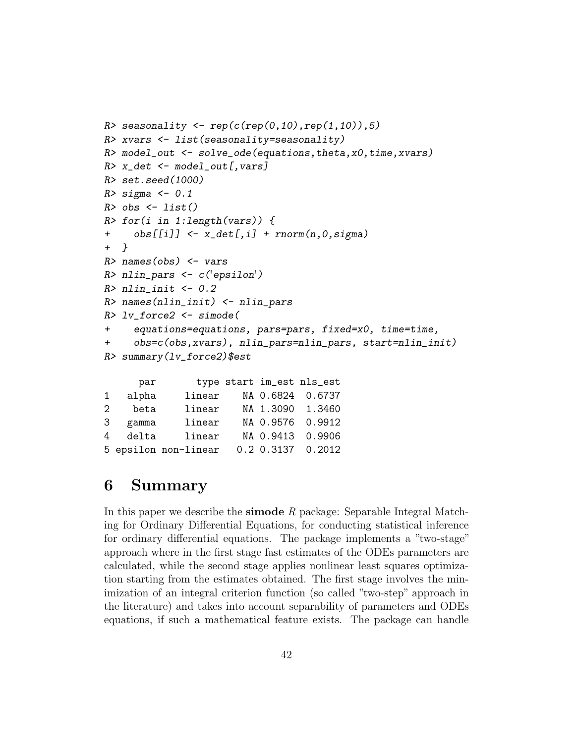```
R> seasonality \left\langle -\operatorname{rep}(c(\operatorname{rep}(0,10),\operatorname{rep}(1,10)),5)\right\rangleR> xvars <- list(seasonality=seasonality)
R> model_out <- solve_ode(equations,theta,x0,time,xvars)
R > x<sub>_det</sub> \leftarrow model_out[, vars]
R> set.seed(1000)
R> sigma <- 0.1
R> obs \leq list()
R> for(i in 1:length(vars)) {
+ obs[[i]] <- x_det[,i] + rnorm(n,0,sigma)
+ }
R> names(obs) <- vars
R> nlin_pars <- c('epsilon')
R> nlin_init <- 0.2
R> names(nlin_init) <- nlin_pars
R> lv_force2 <- simode(
+ equations=equations, pars=pars, fixed=x0, time=time,
+ obs=c(obs,xvars), nlin_pars=nlin_pars, start=nlin_init)
R> summary(lv_force2)$est
      par type start im_est nls_est
1 alpha linear NA 0.6824 0.6737
2 beta linear NA 1.3090 1.3460
3 gamma linear NA 0.9576 0.9912
4 delta linear NA 0.9413 0.9906
5 epsilon non-linear 0.2 0.3137 0.2012
```
### 6 Summary

In this paper we describe the **simode**  $R$  package: Separable Integral Matching for Ordinary Differential Equations, for conducting statistical inference for ordinary differential equations. The package implements a "two-stage" approach where in the first stage fast estimates of the ODEs parameters are calculated, while the second stage applies nonlinear least squares optimization starting from the estimates obtained. The first stage involves the minimization of an integral criterion function (so called "two-step" approach in the literature) and takes into account separability of parameters and ODEs equations, if such a mathematical feature exists. The package can handle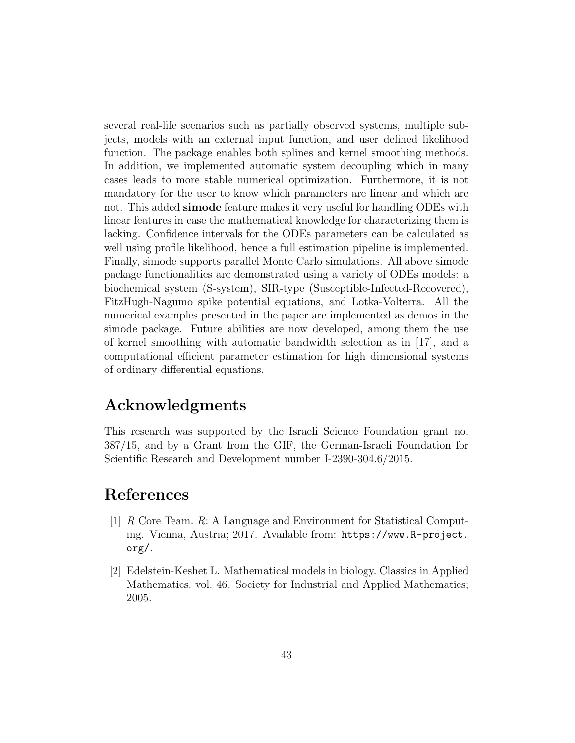several real-life scenarios such as partially observed systems, multiple subjects, models with an external input function, and user defined likelihood function. The package enables both splines and kernel smoothing methods. In addition, we implemented automatic system decoupling which in many cases leads to more stable numerical optimization. Furthermore, it is not mandatory for the user to know which parameters are linear and which are not. This added simode feature makes it very useful for handling ODEs with linear features in case the mathematical knowledge for characterizing them is lacking. Confidence intervals for the ODEs parameters can be calculated as well using profile likelihood, hence a full estimation pipeline is implemented. Finally, simode supports parallel Monte Carlo simulations. All above simode package functionalities are demonstrated using a variety of ODEs models: a biochemical system (S-system), SIR-type (Susceptible-Infected-Recovered), FitzHugh-Nagumo spike potential equations, and Lotka-Volterra. All the numerical examples presented in the paper are implemented as demos in the simode package. Future abilities are now developed, among them the use of kernel smoothing with automatic bandwidth selection as in [17], and a computational efficient parameter estimation for high dimensional systems of ordinary differential equations.

# Acknowledgments

This research was supported by the Israeli Science Foundation grant no. 387/15, and by a Grant from the GIF, the German-Israeli Foundation for Scientific Research and Development number I-2390-304.6/2015.

# References

- [1] R Core Team. R: A Language and Environment for Statistical Computing. Vienna, Austria; 2017. Available from: https://www.R-project. org/.
- [2] Edelstein-Keshet L. Mathematical models in biology. Classics in Applied Mathematics. vol. 46. Society for Industrial and Applied Mathematics; 2005.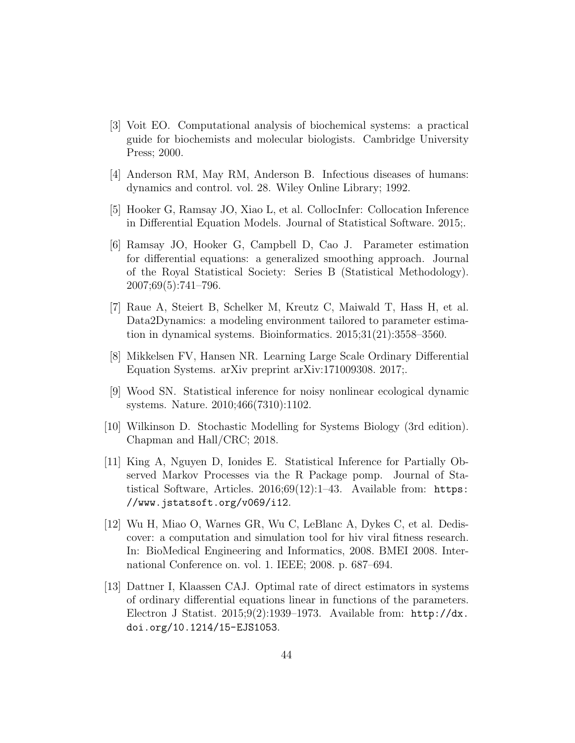- [3] Voit EO. Computational analysis of biochemical systems: a practical guide for biochemists and molecular biologists. Cambridge University Press; 2000.
- [4] Anderson RM, May RM, Anderson B. Infectious diseases of humans: dynamics and control. vol. 28. Wiley Online Library; 1992.
- [5] Hooker G, Ramsay JO, Xiao L, et al. CollocInfer: Collocation Inference in Differential Equation Models. Journal of Statistical Software. 2015;.
- [6] Ramsay JO, Hooker G, Campbell D, Cao J. Parameter estimation for differential equations: a generalized smoothing approach. Journal of the Royal Statistical Society: Series B (Statistical Methodology). 2007;69(5):741–796.
- [7] Raue A, Steiert B, Schelker M, Kreutz C, Maiwald T, Hass H, et al. Data2Dynamics: a modeling environment tailored to parameter estimation in dynamical systems. Bioinformatics. 2015;31(21):3558–3560.
- [8] Mikkelsen FV, Hansen NR. Learning Large Scale Ordinary Differential Equation Systems. arXiv preprint arXiv:171009308. 2017;.
- [9] Wood SN. Statistical inference for noisy nonlinear ecological dynamic systems. Nature. 2010;466(7310):1102.
- [10] Wilkinson D. Stochastic Modelling for Systems Biology (3rd edition). Chapman and Hall/CRC; 2018.
- [11] King A, Nguyen D, Ionides E. Statistical Inference for Partially Observed Markov Processes via the R Package pomp. Journal of Statistical Software, Articles.  $2016;69(12):1-43$ . Available from: https: //www.jstatsoft.org/v069/i12.
- [12] Wu H, Miao O, Warnes GR, Wu C, LeBlanc A, Dykes C, et al. Dediscover: a computation and simulation tool for hiv viral fitness research. In: BioMedical Engineering and Informatics, 2008. BMEI 2008. International Conference on. vol. 1. IEEE; 2008. p. 687–694.
- [13] Dattner I, Klaassen CAJ. Optimal rate of direct estimators in systems of ordinary differential equations linear in functions of the parameters. Electron J Statist. 2015;9(2):1939–1973. Available from: http://dx. doi.org/10.1214/15-EJS1053.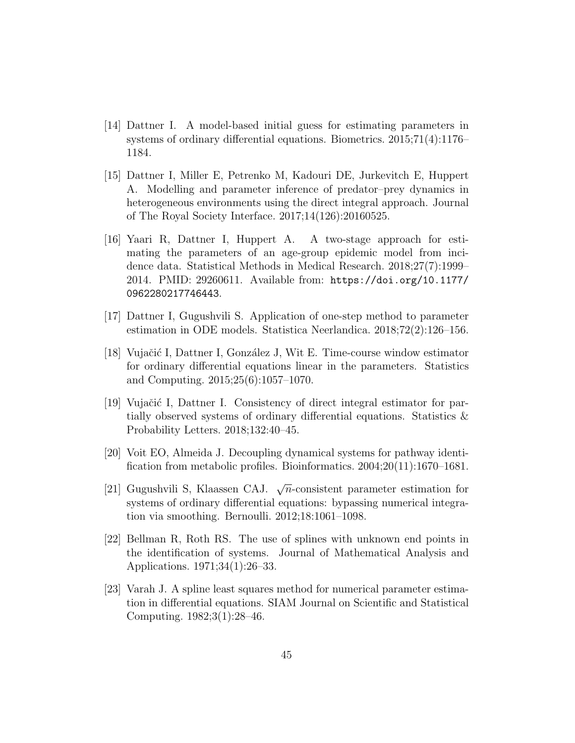- [14] Dattner I. A model-based initial guess for estimating parameters in systems of ordinary differential equations. Biometrics. 2015;71(4):1176– 1184.
- [15] Dattner I, Miller E, Petrenko M, Kadouri DE, Jurkevitch E, Huppert A. Modelling and parameter inference of predator–prey dynamics in heterogeneous environments using the direct integral approach. Journal of The Royal Society Interface. 2017;14(126):20160525.
- [16] Yaari R, Dattner I, Huppert A. A two-stage approach for estimating the parameters of an age-group epidemic model from incidence data. Statistical Methods in Medical Research. 2018;27(7):1999– 2014. PMID: 29260611. Available from: https://doi.org/10.1177/ 0962280217746443.
- [17] Dattner I, Gugushvili S. Application of one-step method to parameter estimation in ODE models. Statistica Neerlandica. 2018;72(2):126–156.
- [18] Vujačić I, Dattner I, González J, Wit E. Time-course window estimator for ordinary differential equations linear in the parameters. Statistics and Computing. 2015;25(6):1057–1070.
- [19] Vujačić I, Dattner I. Consistency of direct integral estimator for partially observed systems of ordinary differential equations. Statistics & Probability Letters. 2018;132:40–45.
- [20] Voit EO, Almeida J. Decoupling dynamical systems for pathway identification from metabolic profiles. Bioinformatics. 2004;20(11):1670–1681.
- [21] Gugushvili S, Klaassen CAJ.  $\sqrt{n}$ -consistent parameter estimation for systems of ordinary differential equations: bypassing numerical integration via smoothing. Bernoulli. 2012;18:1061–1098.
- [22] Bellman R, Roth RS. The use of splines with unknown end points in the identification of systems. Journal of Mathematical Analysis and Applications. 1971;34(1):26–33.
- [23] Varah J. A spline least squares method for numerical parameter estimation in differential equations. SIAM Journal on Scientific and Statistical Computing. 1982;3(1):28–46.